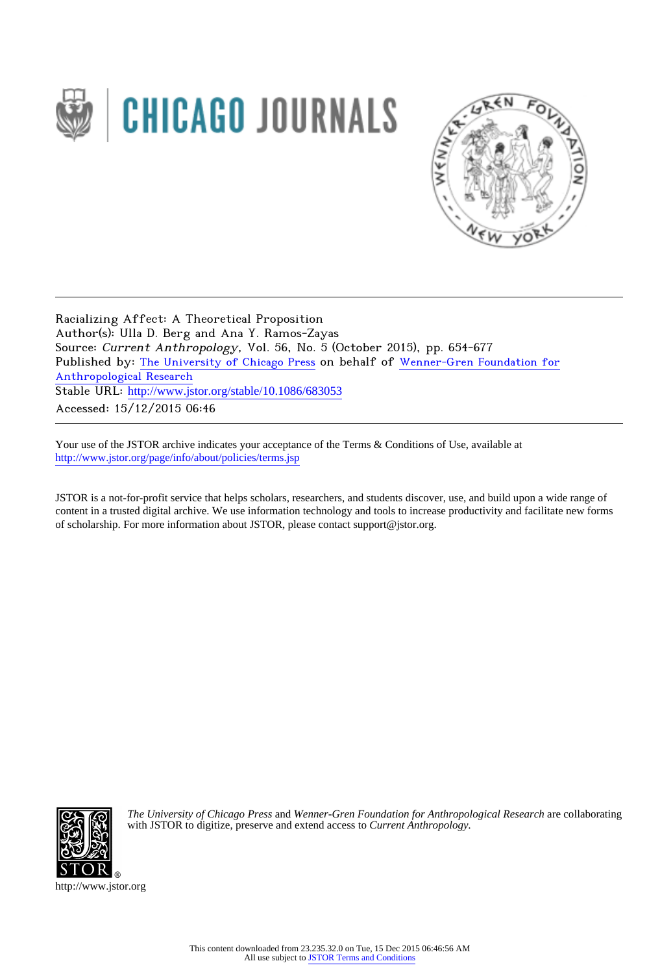



Racializing Affect: A Theoretical Proposition Author(s): Ulla D. Berg and Ana Y. Ramos-Zayas Source: Current Anthropology, Vol. 56, No. 5 (October 2015), pp. 654-677 Published by: [The University of Chicago Press](http://www.jstor.org/action/showPublisher?publisherCode=ucpress) on behalf of [Wenner-Gren Foundation for](http://www.jstor.org/action/showPublisher?publisherCode=wennergren) [Anthropological Research](http://www.jstor.org/action/showPublisher?publisherCode=wennergren) Stable URL: http://www.jstor.org/stable/10.1086/683053 Accessed: 15/12/2015 06:46

Your use of the JSTOR archive indicates your acceptance of the Terms & Conditions of Use, available at <http://www.jstor.org/page/info/about/policies/terms.jsp>

JSTOR is a not-for-profit service that helps scholars, researchers, and students discover, use, and build upon a wide range of content in a trusted digital archive. We use information technology and tools to increase productivity and facilitate new forms of scholarship. For more information about JSTOR, please contact support@jstor.org.



*The University of Chicago Press* and *Wenner-Gren Foundation for Anthropological Research* are collaborating with JSTOR to digitize, preserve and extend access to *Current Anthropology.*

http://www.jstor.org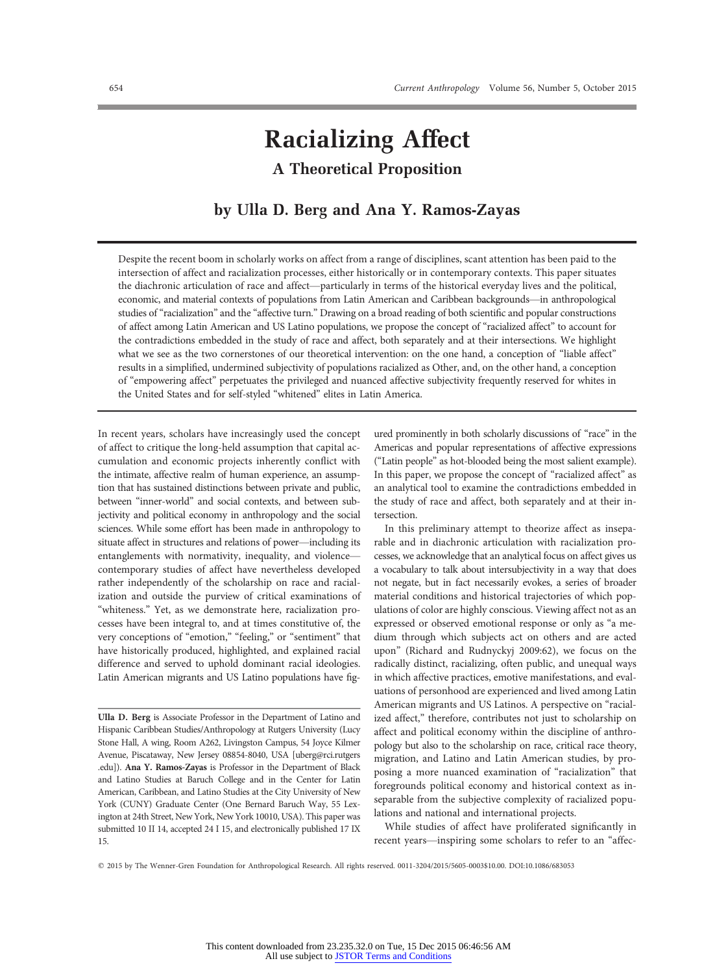# Racializing Affect A Theoretical Proposition

## by Ulla D. Berg and Ana Y. Ramos-Zayas

Despite the recent boom in scholarly works on affect from a range of disciplines, scant attention has been paid to the intersection of affect and racialization processes, either historically or in contemporary contexts. This paper situates the diachronic articulation of race and affect—particularly in terms of the historical everyday lives and the political, economic, and material contexts of populations from Latin American and Caribbean backgrounds—in anthropological studies of "racialization" and the "affective turn." Drawing on a broad reading of both scientific and popular constructions of affect among Latin American and US Latino populations, we propose the concept of "racialized affect" to account for the contradictions embedded in the study of race and affect, both separately and at their intersections. We highlight what we see as the two cornerstones of our theoretical intervention: on the one hand, a conception of "liable affect" results in a simplified, undermined subjectivity of populations racialized as Other, and, on the other hand, a conception of "empowering affect" perpetuates the privileged and nuanced affective subjectivity frequently reserved for whites in the United States and for self-styled "whitened" elites in Latin America.

In recent years, scholars have increasingly used the concept of affect to critique the long-held assumption that capital accumulation and economic projects inherently conflict with the intimate, affective realm of human experience, an assumption that has sustained distinctions between private and public, between "inner-world" and social contexts, and between subjectivity and political economy in anthropology and the social sciences. While some effort has been made in anthropology to situate affect in structures and relations of power—including its entanglements with normativity, inequality, and violence contemporary studies of affect have nevertheless developed rather independently of the scholarship on race and racialization and outside the purview of critical examinations of "whiteness." Yet, as we demonstrate here, racialization processes have been integral to, and at times constitutive of, the very conceptions of "emotion," "feeling," or "sentiment" that have historically produced, highlighted, and explained racial difference and served to uphold dominant racial ideologies. Latin American migrants and US Latino populations have fig-

Ulla D. Berg is Associate Professor in the Department of Latino and Hispanic Caribbean Studies/Anthropology at Rutgers University (Lucy Stone Hall, A wing, Room A262, Livingston Campus, 54 Joyce Kilmer Avenue, Piscataway, New Jersey 08854-8040, USA [uberg@rci.rutgers .edu]). Ana Y. Ramos-Zayas is Professor in the Department of Black and Latino Studies at Baruch College and in the Center for Latin American, Caribbean, and Latino Studies at the City University of New York (CUNY) Graduate Center (One Bernard Baruch Way, 55 Lexington at 24th Street, New York, New York 10010, USA). This paper was submitted 10 II 14, accepted 24 I 15, and electronically published 17 IX 15.

ured prominently in both scholarly discussions of "race" in the Americas and popular representations of affective expressions ("Latin people" as hot-blooded being the most salient example). In this paper, we propose the concept of "racialized affect" as an analytical tool to examine the contradictions embedded in the study of race and affect, both separately and at their intersection.

In this preliminary attempt to theorize affect as inseparable and in diachronic articulation with racialization processes, we acknowledge that an analytical focus on affect gives us a vocabulary to talk about intersubjectivity in a way that does not negate, but in fact necessarily evokes, a series of broader material conditions and historical trajectories of which populations of color are highly conscious. Viewing affect not as an expressed or observed emotional response or only as "a medium through which subjects act on others and are acted upon" (Richard and Rudnyckyj 2009:62), we focus on the radically distinct, racializing, often public, and unequal ways in which affective practices, emotive manifestations, and evaluations of personhood are experienced and lived among Latin American migrants and US Latinos. A perspective on "racialized affect," therefore, contributes not just to scholarship on affect and political economy within the discipline of anthropology but also to the scholarship on race, critical race theory, migration, and Latino and Latin American studies, by proposing a more nuanced examination of "racialization" that foregrounds political economy and historical context as inseparable from the subjective complexity of racialized populations and national and international projects.

While studies of affect have proliferated significantly in recent years—inspiring some scholars to refer to an "affec-

q 2015 by The Wenner-Gren Foundation for Anthropological Research. All rights reserved. 0011-3204/2015/5605-0003\$10.00. DOI:10.1086/683053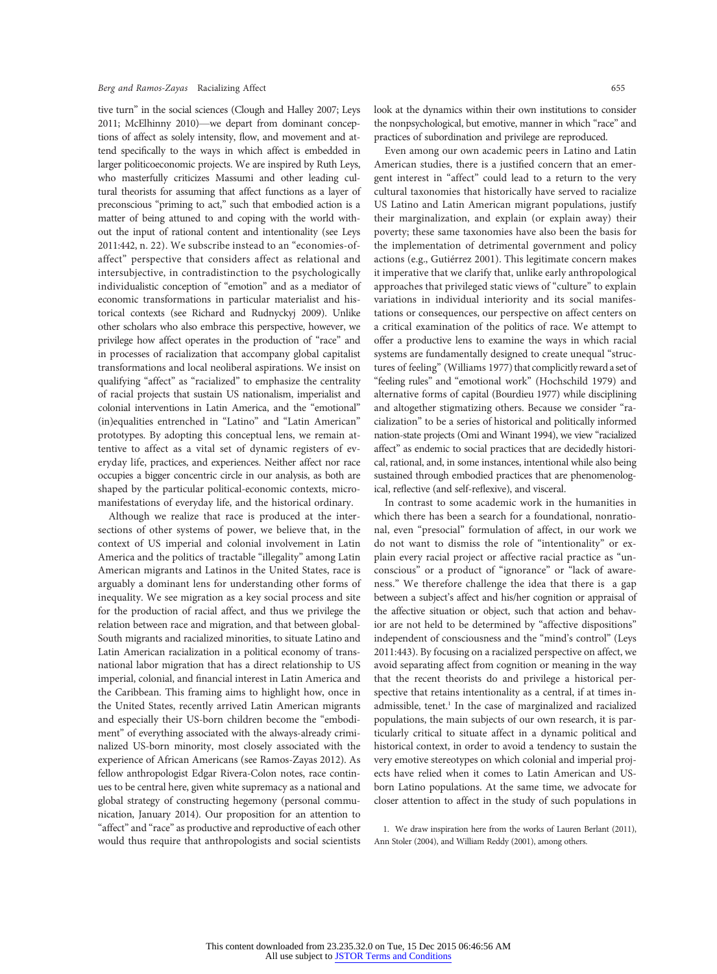tive turn" in the social sciences (Clough and Halley 2007; Leys 2011; McElhinny 2010)—we depart from dominant conceptions of affect as solely intensity, flow, and movement and attend specifically to the ways in which affect is embedded in larger politicoeconomic projects. We are inspired by Ruth Leys, who masterfully criticizes Massumi and other leading cultural theorists for assuming that affect functions as a layer of preconscious "priming to act," such that embodied action is a matter of being attuned to and coping with the world without the input of rational content and intentionality (see Leys 2011:442, n. 22). We subscribe instead to an "economies-ofaffect" perspective that considers affect as relational and intersubjective, in contradistinction to the psychologically individualistic conception of "emotion" and as a mediator of economic transformations in particular materialist and historical contexts (see Richard and Rudnyckyj 2009). Unlike other scholars who also embrace this perspective, however, we privilege how affect operates in the production of "race" and in processes of racialization that accompany global capitalist transformations and local neoliberal aspirations. We insist on qualifying "affect" as "racialized" to emphasize the centrality of racial projects that sustain US nationalism, imperialist and colonial interventions in Latin America, and the "emotional" (in)equalities entrenched in "Latino" and "Latin American" prototypes. By adopting this conceptual lens, we remain attentive to affect as a vital set of dynamic registers of everyday life, practices, and experiences. Neither affect nor race occupies a bigger concentric circle in our analysis, as both are shaped by the particular political-economic contexts, micromanifestations of everyday life, and the historical ordinary.

Although we realize that race is produced at the intersections of other systems of power, we believe that, in the context of US imperial and colonial involvement in Latin America and the politics of tractable "illegality" among Latin American migrants and Latinos in the United States, race is arguably a dominant lens for understanding other forms of inequality. We see migration as a key social process and site for the production of racial affect, and thus we privilege the relation between race and migration, and that between global-South migrants and racialized minorities, to situate Latino and Latin American racialization in a political economy of transnational labor migration that has a direct relationship to US imperial, colonial, and financial interest in Latin America and the Caribbean. This framing aims to highlight how, once in the United States, recently arrived Latin American migrants and especially their US-born children become the "embodiment" of everything associated with the always-already criminalized US-born minority, most closely associated with the experience of African Americans (see Ramos-Zayas 2012). As fellow anthropologist Edgar Rivera-Colon notes, race continues to be central here, given white supremacy as a national and global strategy of constructing hegemony (personal communication, January 2014). Our proposition for an attention to "affect" and "race" as productive and reproductive of each other would thus require that anthropologists and social scientists look at the dynamics within their own institutions to consider the nonpsychological, but emotive, manner in which "race" and practices of subordination and privilege are reproduced.

Even among our own academic peers in Latino and Latin American studies, there is a justified concern that an emergent interest in "affect" could lead to a return to the very cultural taxonomies that historically have served to racialize US Latino and Latin American migrant populations, justify their marginalization, and explain (or explain away) their poverty; these same taxonomies have also been the basis for the implementation of detrimental government and policy actions (e.g., Gutiérrez 2001). This legitimate concern makes it imperative that we clarify that, unlike early anthropological approaches that privileged static views of "culture" to explain variations in individual interiority and its social manifestations or consequences, our perspective on affect centers on a critical examination of the politics of race. We attempt to offer a productive lens to examine the ways in which racial systems are fundamentally designed to create unequal "structures of feeling" (Williams 1977) that complicitly reward a set of "feeling rules" and "emotional work" (Hochschild 1979) and alternative forms of capital (Bourdieu 1977) while disciplining and altogether stigmatizing others. Because we consider "racialization" to be a series of historical and politically informed nation-state projects (Omi and Winant 1994), we view "racialized affect" as endemic to social practices that are decidedly historical, rational, and, in some instances, intentional while also being sustained through embodied practices that are phenomenological, reflective (and self-reflexive), and visceral.

In contrast to some academic work in the humanities in which there has been a search for a foundational, nonrational, even "presocial" formulation of affect, in our work we do not want to dismiss the role of "intentionality" or explain every racial project or affective racial practice as "unconscious" or a product of "ignorance" or "lack of awareness." We therefore challenge the idea that there is a gap between a subject's affect and his/her cognition or appraisal of the affective situation or object, such that action and behavior are not held to be determined by "affective dispositions" independent of consciousness and the "mind's control" (Leys 2011:443). By focusing on a racialized perspective on affect, we avoid separating affect from cognition or meaning in the way that the recent theorists do and privilege a historical perspective that retains intentionality as a central, if at times inadmissible, tenet.<sup>1</sup> In the case of marginalized and racialized populations, the main subjects of our own research, it is particularly critical to situate affect in a dynamic political and historical context, in order to avoid a tendency to sustain the very emotive stereotypes on which colonial and imperial projects have relied when it comes to Latin American and USborn Latino populations. At the same time, we advocate for closer attention to affect in the study of such populations in

1. We draw inspiration here from the works of Lauren Berlant (2011), Ann Stoler (2004), and William Reddy (2001), among others.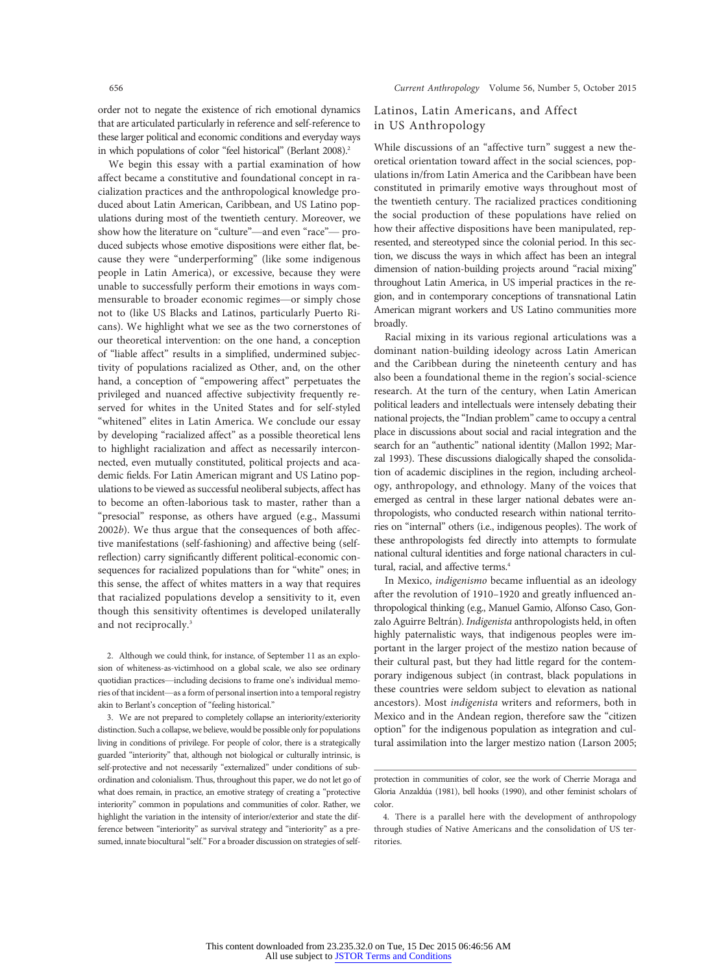order not to negate the existence of rich emotional dynamics that are articulated particularly in reference and self-reference to these larger political and economic conditions and everyday ways in which populations of color "feel historical" (Berlant 2008).<sup>2</sup>

We begin this essay with a partial examination of how affect became a constitutive and foundational concept in racialization practices and the anthropological knowledge produced about Latin American, Caribbean, and US Latino populations during most of the twentieth century. Moreover, we show how the literature on "culture"—and even "race"— produced subjects whose emotive dispositions were either flat, because they were "underperforming" (like some indigenous people in Latin America), or excessive, because they were unable to successfully perform their emotions in ways commensurable to broader economic regimes—or simply chose not to (like US Blacks and Latinos, particularly Puerto Ricans). We highlight what we see as the two cornerstones of our theoretical intervention: on the one hand, a conception of "liable affect" results in a simplified, undermined subjectivity of populations racialized as Other, and, on the other hand, a conception of "empowering affect" perpetuates the privileged and nuanced affective subjectivity frequently reserved for whites in the United States and for self-styled "whitened" elites in Latin America. We conclude our essay by developing "racialized affect" as a possible theoretical lens to highlight racialization and affect as necessarily interconnected, even mutually constituted, political projects and academic fields. For Latin American migrant and US Latino populations to be viewed as successful neoliberal subjects, affect has to become an often-laborious task to master, rather than a "presocial" response, as others have argued (e.g., Massumi 2002b). We thus argue that the consequences of both affective manifestations (self-fashioning) and affective being (selfreflection) carry significantly different political-economic consequences for racialized populations than for "white" ones; in this sense, the affect of whites matters in a way that requires that racialized populations develop a sensitivity to it, even though this sensitivity oftentimes is developed unilaterally and not reciprocally.<sup>3</sup>

2. Although we could think, for instance, of September 11 as an explosion of whiteness-as-victimhood on a global scale, we also see ordinary quotidian practices—including decisions to frame one's individual memories of that incident—as a form of personal insertion into a temporal registry akin to Berlant's conception of "feeling historical."

3. We are not prepared to completely collapse an interiority/exteriority distinction. Such a collapse, we believe, would be possible only for populations living in conditions of privilege. For people of color, there is a strategically guarded "interiority" that, although not biological or culturally intrinsic, is self-protective and not necessarily "externalized" under conditions of subordination and colonialism. Thus, throughout this paper, we do not let go of what does remain, in practice, an emotive strategy of creating a "protective interiority" common in populations and communities of color. Rather, we highlight the variation in the intensity of interior/exterior and state the difference between "interiority" as survival strategy and "interiority" as a presumed, innate biocultural "self." For a broader discussion on strategies of self-

## Latinos, Latin Americans, and Affect in US Anthropology

While discussions of an "affective turn" suggest a new theoretical orientation toward affect in the social sciences, populations in/from Latin America and the Caribbean have been constituted in primarily emotive ways throughout most of the twentieth century. The racialized practices conditioning the social production of these populations have relied on how their affective dispositions have been manipulated, represented, and stereotyped since the colonial period. In this section, we discuss the ways in which affect has been an integral dimension of nation-building projects around "racial mixing" throughout Latin America, in US imperial practices in the region, and in contemporary conceptions of transnational Latin American migrant workers and US Latino communities more broadly.

Racial mixing in its various regional articulations was a dominant nation-building ideology across Latin American and the Caribbean during the nineteenth century and has also been a foundational theme in the region's social-science research. At the turn of the century, when Latin American political leaders and intellectuals were intensely debating their national projects, the "Indian problem" came to occupy a central place in discussions about social and racial integration and the search for an "authentic" national identity (Mallon 1992; Marzal 1993). These discussions dialogically shaped the consolidation of academic disciplines in the region, including archeology, anthropology, and ethnology. Many of the voices that emerged as central in these larger national debates were anthropologists, who conducted research within national territories on "internal" others (i.e., indigenous peoples). The work of these anthropologists fed directly into attempts to formulate national cultural identities and forge national characters in cultural, racial, and affective terms.<sup>4</sup>

In Mexico, indigenismo became influential as an ideology after the revolution of 1910–1920 and greatly influenced anthropological thinking (e.g., Manuel Gamio, Alfonso Caso, Gonzalo Aguirre Beltrán). Indigenista anthropologists held, in often highly paternalistic ways, that indigenous peoples were important in the larger project of the mestizo nation because of their cultural past, but they had little regard for the contemporary indigenous subject (in contrast, black populations in these countries were seldom subject to elevation as national ancestors). Most indigenista writers and reformers, both in Mexico and in the Andean region, therefore saw the "citizen option" for the indigenous population as integration and cultural assimilation into the larger mestizo nation (Larson 2005;

protection in communities of color, see the work of Cherrie Moraga and Gloria Anzaldúa (1981), bell hooks (1990), and other feminist scholars of color.

<sup>4.</sup> There is a parallel here with the development of anthropology through studies of Native Americans and the consolidation of US territories.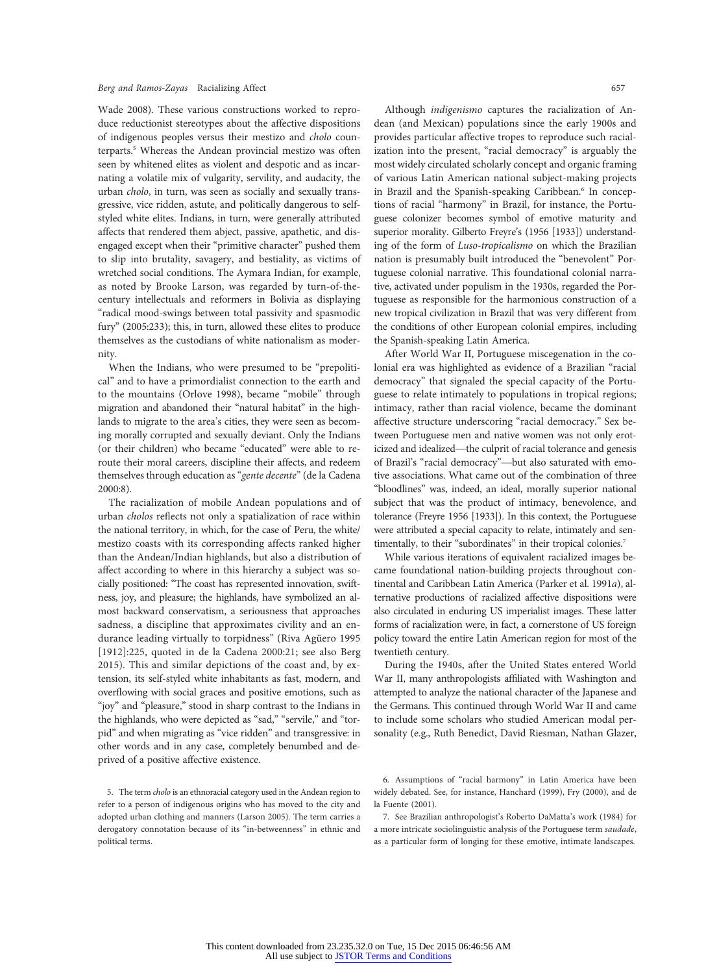Wade 2008). These various constructions worked to reproduce reductionist stereotypes about the affective dispositions of indigenous peoples versus their mestizo and cholo counterparts.<sup>5</sup> Whereas the Andean provincial mestizo was often seen by whitened elites as violent and despotic and as incarnating a volatile mix of vulgarity, servility, and audacity, the urban cholo, in turn, was seen as socially and sexually transgressive, vice ridden, astute, and politically dangerous to selfstyled white elites. Indians, in turn, were generally attributed affects that rendered them abject, passive, apathetic, and disengaged except when their "primitive character" pushed them to slip into brutality, savagery, and bestiality, as victims of wretched social conditions. The Aymara Indian, for example, as noted by Brooke Larson, was regarded by turn-of-thecentury intellectuals and reformers in Bolivia as displaying "radical mood-swings between total passivity and spasmodic fury" (2005:233); this, in turn, allowed these elites to produce themselves as the custodians of white nationalism as modernity.

When the Indians, who were presumed to be "prepolitical" and to have a primordialist connection to the earth and to the mountains (Orlove 1998), became "mobile" through migration and abandoned their "natural habitat" in the highlands to migrate to the area's cities, they were seen as becoming morally corrupted and sexually deviant. Only the Indians (or their children) who became "educated" were able to reroute their moral careers, discipline their affects, and redeem themselves through education as "gente decente" (de la Cadena 2000:8).

The racialization of mobile Andean populations and of urban cholos reflects not only a spatialization of race within the national territory, in which, for the case of Peru, the white/ mestizo coasts with its corresponding affects ranked higher than the Andean/Indian highlands, but also a distribution of affect according to where in this hierarchy a subject was socially positioned: "The coast has represented innovation, swiftness, joy, and pleasure; the highlands, have symbolized an almost backward conservatism, a seriousness that approaches sadness, a discipline that approximates civility and an endurance leading virtually to torpidness" (Riva Agüero 1995 [1912]:225, quoted in de la Cadena 2000:21; see also Berg 2015). This and similar depictions of the coast and, by extension, its self-styled white inhabitants as fast, modern, and overflowing with social graces and positive emotions, such as "joy" and "pleasure," stood in sharp contrast to the Indians in the highlands, who were depicted as "sad," "servile," and "torpid" and when migrating as "vice ridden" and transgressive: in other words and in any case, completely benumbed and deprived of a positive affective existence.

5. The term cholo is an ethnoracial category used in the Andean region to refer to a person of indigenous origins who has moved to the city and adopted urban clothing and manners (Larson 2005). The term carries a derogatory connotation because of its "in-betweenness" in ethnic and political terms.

Although indigenismo captures the racialization of Andean (and Mexican) populations since the early 1900s and provides particular affective tropes to reproduce such racialization into the present, "racial democracy" is arguably the most widely circulated scholarly concept and organic framing of various Latin American national subject-making projects in Brazil and the Spanish-speaking Caribbean.<sup>6</sup> In conceptions of racial "harmony" in Brazil, for instance, the Portuguese colonizer becomes symbol of emotive maturity and superior morality. Gilberto Freyre's (1956 [1933]) understanding of the form of Luso-tropicalismo on which the Brazilian nation is presumably built introduced the "benevolent" Portuguese colonial narrative. This foundational colonial narrative, activated under populism in the 1930s, regarded the Portuguese as responsible for the harmonious construction of a new tropical civilization in Brazil that was very different from the conditions of other European colonial empires, including the Spanish-speaking Latin America.

After World War II, Portuguese miscegenation in the colonial era was highlighted as evidence of a Brazilian "racial democracy" that signaled the special capacity of the Portuguese to relate intimately to populations in tropical regions; intimacy, rather than racial violence, became the dominant affective structure underscoring "racial democracy." Sex between Portuguese men and native women was not only eroticized and idealized—the culprit of racial tolerance and genesis of Brazil's "racial democracy"—but also saturated with emotive associations. What came out of the combination of three "bloodlines" was, indeed, an ideal, morally superior national subject that was the product of intimacy, benevolence, and tolerance (Freyre 1956 [1933]). In this context, the Portuguese were attributed a special capacity to relate, intimately and sentimentally, to their "subordinates" in their tropical colonies.<sup>7</sup>

While various iterations of equivalent racialized images became foundational nation-building projects throughout continental and Caribbean Latin America (Parker et al. 1991a), alternative productions of racialized affective dispositions were also circulated in enduring US imperialist images. These latter forms of racialization were, in fact, a cornerstone of US foreign policy toward the entire Latin American region for most of the twentieth century.

During the 1940s, after the United States entered World War II, many anthropologists affiliated with Washington and attempted to analyze the national character of the Japanese and the Germans. This continued through World War II and came to include some scholars who studied American modal personality (e.g., Ruth Benedict, David Riesman, Nathan Glazer,

<sup>6.</sup> Assumptions of "racial harmony" in Latin America have been widely debated. See, for instance, Hanchard (1999), Fry (2000), and de la Fuente (2001).

<sup>7.</sup> See Brazilian anthropologist's Roberto DaMatta's work (1984) for a more intricate sociolinguistic analysis of the Portuguese term saudade, as a particular form of longing for these emotive, intimate landscapes.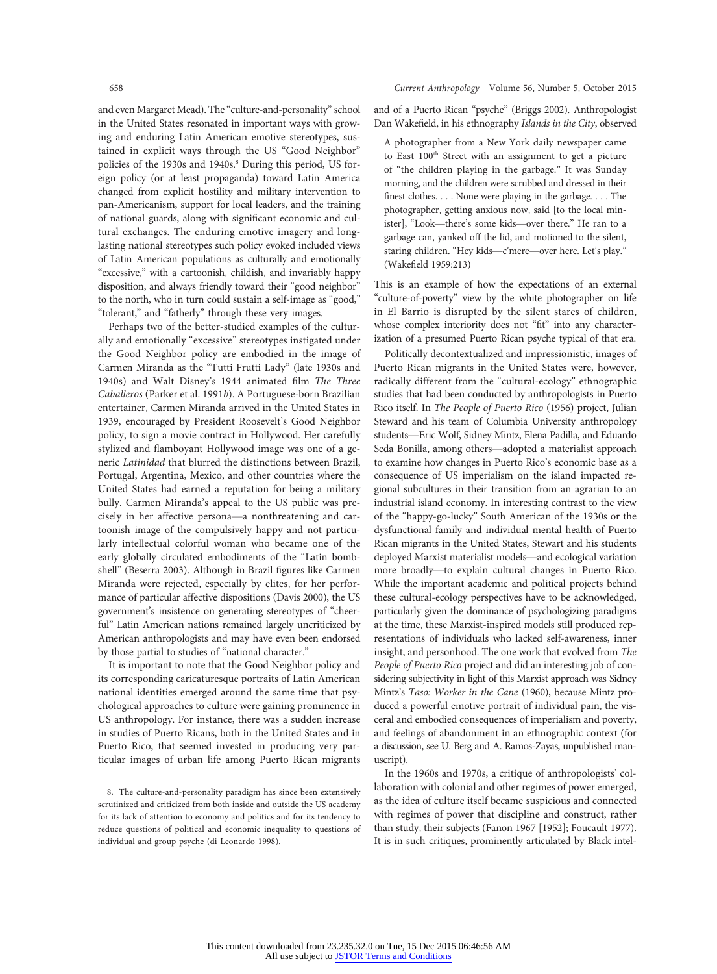and even Margaret Mead). The "culture-and-personality"school in the United States resonated in important ways with growing and enduring Latin American emotive stereotypes, sustained in explicit ways through the US "Good Neighbor" policies of the 1930s and 1940s.<sup>8</sup> During this period, US foreign policy (or at least propaganda) toward Latin America changed from explicit hostility and military intervention to pan-Americanism, support for local leaders, and the training of national guards, along with significant economic and cultural exchanges. The enduring emotive imagery and longlasting national stereotypes such policy evoked included views of Latin American populations as culturally and emotionally "excessive," with a cartoonish, childish, and invariably happy disposition, and always friendly toward their "good neighbor" to the north, who in turn could sustain a self-image as "good," "tolerant," and "fatherly" through these very images.

Perhaps two of the better-studied examples of the culturally and emotionally "excessive" stereotypes instigated under the Good Neighbor policy are embodied in the image of Carmen Miranda as the "Tutti Frutti Lady" (late 1930s and 1940s) and Walt Disney's 1944 animated film The Three Caballeros (Parker et al. 1991b). A Portuguese-born Brazilian entertainer, Carmen Miranda arrived in the United States in 1939, encouraged by President Roosevelt's Good Neighbor policy, to sign a movie contract in Hollywood. Her carefully stylized and flamboyant Hollywood image was one of a generic Latinidad that blurred the distinctions between Brazil, Portugal, Argentina, Mexico, and other countries where the United States had earned a reputation for being a military bully. Carmen Miranda's appeal to the US public was precisely in her affective persona—a nonthreatening and cartoonish image of the compulsively happy and not particularly intellectual colorful woman who became one of the early globally circulated embodiments of the "Latin bombshell" (Beserra 2003). Although in Brazil figures like Carmen Miranda were rejected, especially by elites, for her performance of particular affective dispositions (Davis 2000), the US government's insistence on generating stereotypes of "cheerful" Latin American nations remained largely uncriticized by American anthropologists and may have even been endorsed by those partial to studies of "national character."

It is important to note that the Good Neighbor policy and its corresponding caricaturesque portraits of Latin American national identities emerged around the same time that psychological approaches to culture were gaining prominence in US anthropology. For instance, there was a sudden increase in studies of Puerto Ricans, both in the United States and in Puerto Rico, that seemed invested in producing very particular images of urban life among Puerto Rican migrants and of a Puerto Rican "psyche" (Briggs 2002). Anthropologist Dan Wakefield, in his ethnography Islands in the City, observed

A photographer from a New York daily newspaper came to East 100<sup>th</sup> Street with an assignment to get a picture of "the children playing in the garbage." It was Sunday morning, and the children were scrubbed and dressed in their finest clothes. . . . None were playing in the garbage. . . . The photographer, getting anxious now, said [to the local minister], "Look—there's some kids—over there." He ran to a garbage can, yanked off the lid, and motioned to the silent, staring children. "Hey kids—c'mere—over here. Let's play." (Wakefield 1959:213)

This is an example of how the expectations of an external "culture-of-poverty" view by the white photographer on life in El Barrio is disrupted by the silent stares of children, whose complex interiority does not "fit" into any characterization of a presumed Puerto Rican psyche typical of that era.

Politically decontextualized and impressionistic, images of Puerto Rican migrants in the United States were, however, radically different from the "cultural-ecology" ethnographic studies that had been conducted by anthropologists in Puerto Rico itself. In The People of Puerto Rico (1956) project, Julian Steward and his team of Columbia University anthropology students—Eric Wolf, Sidney Mintz, Elena Padilla, and Eduardo Seda Bonilla, among others—adopted a materialist approach to examine how changes in Puerto Rico's economic base as a consequence of US imperialism on the island impacted regional subcultures in their transition from an agrarian to an industrial island economy. In interesting contrast to the view of the "happy-go-lucky" South American of the 1930s or the dysfunctional family and individual mental health of Puerto Rican migrants in the United States, Stewart and his students deployed Marxist materialist models—and ecological variation more broadly—to explain cultural changes in Puerto Rico. While the important academic and political projects behind these cultural-ecology perspectives have to be acknowledged, particularly given the dominance of psychologizing paradigms at the time, these Marxist-inspired models still produced representations of individuals who lacked self-awareness, inner insight, and personhood. The one work that evolved from The People of Puerto Rico project and did an interesting job of considering subjectivity in light of this Marxist approach was Sidney Mintz's Taso: Worker in the Cane (1960), because Mintz produced a powerful emotive portrait of individual pain, the visceral and embodied consequences of imperialism and poverty, and feelings of abandonment in an ethnographic context (for a discussion, see U. Berg and A. Ramos-Zayas, unpublished manuscript).

In the 1960s and 1970s, a critique of anthropologists' collaboration with colonial and other regimes of power emerged, as the idea of culture itself became suspicious and connected with regimes of power that discipline and construct, rather than study, their subjects (Fanon 1967 [1952]; Foucault 1977). It is in such critiques, prominently articulated by Black intel-

<sup>8.</sup> The culture-and-personality paradigm has since been extensively scrutinized and criticized from both inside and outside the US academy for its lack of attention to economy and politics and for its tendency to reduce questions of political and economic inequality to questions of individual and group psyche (di Leonardo 1998).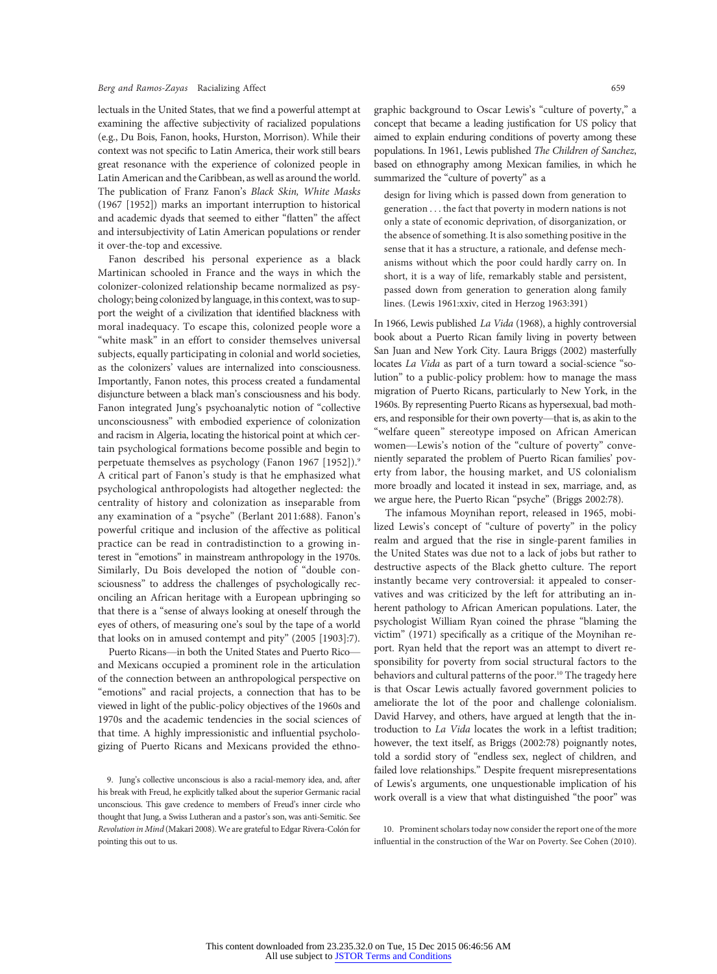lectuals in the United States, that we find a powerful attempt at examining the affective subjectivity of racialized populations (e.g., Du Bois, Fanon, hooks, Hurston, Morrison). While their context was not specific to Latin America, their work still bears great resonance with the experience of colonized people in Latin American and the Caribbean, as well as around the world. The publication of Franz Fanon's Black Skin, White Masks (1967 [1952]) marks an important interruption to historical and academic dyads that seemed to either "flatten" the affect and intersubjectivity of Latin American populations or render it over-the-top and excessive.

Fanon described his personal experience as a black Martinican schooled in France and the ways in which the colonizer-colonized relationship became normalized as psychology; being colonized by language, in this context, was to support the weight of a civilization that identified blackness with moral inadequacy. To escape this, colonized people wore a "white mask" in an effort to consider themselves universal subjects, equally participating in colonial and world societies, as the colonizers' values are internalized into consciousness. Importantly, Fanon notes, this process created a fundamental disjuncture between a black man's consciousness and his body. Fanon integrated Jung's psychoanalytic notion of "collective unconsciousness" with embodied experience of colonization and racism in Algeria, locating the historical point at which certain psychological formations become possible and begin to perpetuate themselves as psychology (Fanon 1967 [1952]).<sup>9</sup> A critical part of Fanon's study is that he emphasized what psychological anthropologists had altogether neglected: the centrality of history and colonization as inseparable from any examination of a "psyche" (Berlant 2011:688). Fanon's powerful critique and inclusion of the affective as political practice can be read in contradistinction to a growing interest in "emotions" in mainstream anthropology in the 1970s. Similarly, Du Bois developed the notion of "double consciousness" to address the challenges of psychologically reconciling an African heritage with a European upbringing so that there is a "sense of always looking at oneself through the eyes of others, of measuring one's soul by the tape of a world that looks on in amused contempt and pity" (2005 [1903]:7).

Puerto Ricans—in both the United States and Puerto Rico and Mexicans occupied a prominent role in the articulation of the connection between an anthropological perspective on "emotions" and racial projects, a connection that has to be viewed in light of the public-policy objectives of the 1960s and 1970s and the academic tendencies in the social sciences of that time. A highly impressionistic and influential psychologizing of Puerto Ricans and Mexicans provided the ethno-

9. Jung's collective unconscious is also a racial-memory idea, and, after his break with Freud, he explicitly talked about the superior Germanic racial unconscious. This gave credence to members of Freud's inner circle who thought that Jung, a Swiss Lutheran and a pastor's son, was anti-Semitic. See Revolution in Mind (Makari 2008). We are grateful to Edgar Rivera-Colón for pointing this out to us.

graphic background to Oscar Lewis's "culture of poverty," a concept that became a leading justification for US policy that aimed to explain enduring conditions of poverty among these populations. In 1961, Lewis published The Children of Sanchez, based on ethnography among Mexican families, in which he summarized the "culture of poverty" as a

design for living which is passed down from generation to generation . . . the fact that poverty in modern nations is not only a state of economic deprivation, of disorganization, or the absence of something. It is also something positive in the sense that it has a structure, a rationale, and defense mechanisms without which the poor could hardly carry on. In short, it is a way of life, remarkably stable and persistent, passed down from generation to generation along family lines. (Lewis 1961:xxiv, cited in Herzog 1963:391)

In 1966, Lewis published La Vida (1968), a highly controversial book about a Puerto Rican family living in poverty between San Juan and New York City. Laura Briggs (2002) masterfully locates La Vida as part of a turn toward a social-science "solution" to a public-policy problem: how to manage the mass migration of Puerto Ricans, particularly to New York, in the 1960s. By representing Puerto Ricans as hypersexual, bad mothers, and responsible for their own poverty—that is, as akin to the "welfare queen" stereotype imposed on African American women—Lewis's notion of the "culture of poverty" conveniently separated the problem of Puerto Rican families' poverty from labor, the housing market, and US colonialism more broadly and located it instead in sex, marriage, and, as we argue here, the Puerto Rican "psyche" (Briggs 2002:78).

The infamous Moynihan report, released in 1965, mobilized Lewis's concept of "culture of poverty" in the policy realm and argued that the rise in single-parent families in the United States was due not to a lack of jobs but rather to destructive aspects of the Black ghetto culture. The report instantly became very controversial: it appealed to conservatives and was criticized by the left for attributing an inherent pathology to African American populations. Later, the psychologist William Ryan coined the phrase "blaming the victim" (1971) specifically as a critique of the Moynihan report. Ryan held that the report was an attempt to divert responsibility for poverty from social structural factors to the behaviors and cultural patterns of the poor.<sup>10</sup> The tragedy here is that Oscar Lewis actually favored government policies to ameliorate the lot of the poor and challenge colonialism. David Harvey, and others, have argued at length that the introduction to La Vida locates the work in a leftist tradition; however, the text itself, as Briggs (2002:78) poignantly notes, told a sordid story of "endless sex, neglect of children, and failed love relationships." Despite frequent misrepresentations of Lewis's arguments, one unquestionable implication of his work overall is a view that what distinguished "the poor" was

10. Prominent scholars today now consider the report one of the more influential in the construction of the War on Poverty. See Cohen (2010).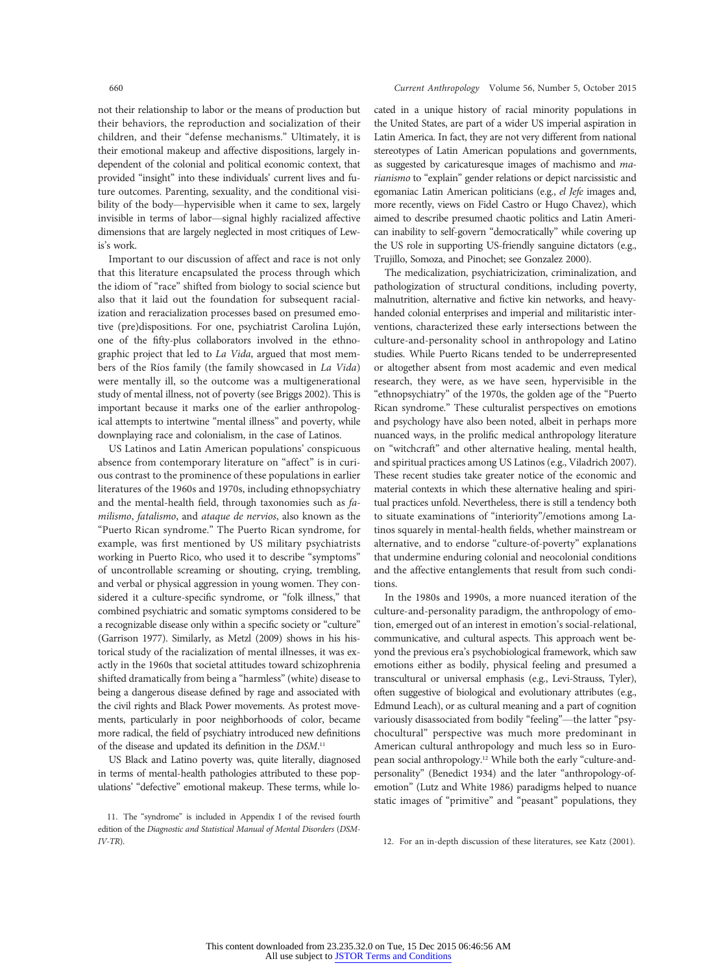not their relationship to labor or the means of production but their behaviors, the reproduction and socialization of their children, and their "defense mechanisms." Ultimately, it is their emotional makeup and affective dispositions, largely independent of the colonial and political economic context, that provided "insight" into these individuals' current lives and future outcomes. Parenting, sexuality, and the conditional visibility of the body—hypervisible when it came to sex, largely invisible in terms of labor—signal highly racialized affective dimensions that are largely neglected in most critiques of Lewis's work.

Important to our discussion of affect and race is not only that this literature encapsulated the process through which the idiom of "race" shifted from biology to social science but also that it laid out the foundation for subsequent racialization and reracialization processes based on presumed emotive (pre)dispositions. For one, psychiatrist Carolina Lujón, one of the fifty-plus collaborators involved in the ethnographic project that led to La Vida, argued that most members of the Ríos family (the family showcased in La Vida) were mentally ill, so the outcome was a multigenerational study of mental illness, not of poverty (see Briggs 2002). This is important because it marks one of the earlier anthropological attempts to intertwine "mental illness" and poverty, while downplaying race and colonialism, in the case of Latinos.

US Latinos and Latin American populations' conspicuous absence from contemporary literature on "affect" is in curious contrast to the prominence of these populations in earlier literatures of the 1960s and 1970s, including ethnopsychiatry and the mental-health field, through taxonomies such as familismo, fatalismo, and ataque de nervios, also known as the "Puerto Rican syndrome." The Puerto Rican syndrome, for example, was first mentioned by US military psychiatrists working in Puerto Rico, who used it to describe "symptoms" of uncontrollable screaming or shouting, crying, trembling, and verbal or physical aggression in young women. They considered it a culture-specific syndrome, or "folk illness," that combined psychiatric and somatic symptoms considered to be a recognizable disease only within a specific society or "culture" (Garrison 1977). Similarly, as Metzl (2009) shows in his historical study of the racialization of mental illnesses, it was exactly in the 1960s that societal attitudes toward schizophrenia shifted dramatically from being a "harmless" (white) disease to being a dangerous disease defined by rage and associated with the civil rights and Black Power movements. As protest movements, particularly in poor neighborhoods of color, became more radical, the field of psychiatry introduced new definitions of the disease and updated its definition in the DSM.<sup>11</sup>

US Black and Latino poverty was, quite literally, diagnosed in terms of mental-health pathologies attributed to these populations' "defective" emotional makeup. These terms, while lo-

11. The "syndrome" is included in Appendix I of the revised fourth edition of the Diagnostic and Statistical Manual of Mental Disorders (DSM-IV-TR). 12. For an in-depth discussion of these literatures, see Katz (2001).

cated in a unique history of racial minority populations in the United States, are part of a wider US imperial aspiration in Latin America. In fact, they are not very different from national stereotypes of Latin American populations and governments, as suggested by caricaturesque images of machismo and marianismo to "explain" gender relations or depict narcissistic and egomaniac Latin American politicians (e.g., el Jefe images and, more recently, views on Fidel Castro or Hugo Chavez), which aimed to describe presumed chaotic politics and Latin American inability to self-govern "democratically" while covering up the US role in supporting US-friendly sanguine dictators (e.g., Trujillo, Somoza, and Pinochet; see Gonzalez 2000).

The medicalization, psychiatricization, criminalization, and pathologization of structural conditions, including poverty, malnutrition, alternative and fictive kin networks, and heavyhanded colonial enterprises and imperial and militaristic interventions, characterized these early intersections between the culture-and-personality school in anthropology and Latino studies. While Puerto Ricans tended to be underrepresented or altogether absent from most academic and even medical research, they were, as we have seen, hypervisible in the "ethnopsychiatry" of the 1970s, the golden age of the "Puerto Rican syndrome." These culturalist perspectives on emotions and psychology have also been noted, albeit in perhaps more nuanced ways, in the prolific medical anthropology literature on "witchcraft" and other alternative healing, mental health, and spiritual practices among US Latinos (e.g., Viladrich 2007). These recent studies take greater notice of the economic and material contexts in which these alternative healing and spiritual practices unfold. Nevertheless, there is still a tendency both to situate examinations of "interiority"/emotions among Latinos squarely in mental-health fields, whether mainstream or alternative, and to endorse "culture-of-poverty" explanations that undermine enduring colonial and neocolonial conditions and the affective entanglements that result from such conditions.

In the 1980s and 1990s, a more nuanced iteration of the culture-and-personality paradigm, the anthropology of emotion, emerged out of an interest in emotion's social-relational, communicative, and cultural aspects. This approach went beyond the previous era's psychobiological framework, which saw emotions either as bodily, physical feeling and presumed a transcultural or universal emphasis (e.g., Levi-Strauss, Tyler), often suggestive of biological and evolutionary attributes (e.g., Edmund Leach), or as cultural meaning and a part of cognition variously disassociated from bodily "feeling"—the latter "psychocultural" perspective was much more predominant in American cultural anthropology and much less so in European social anthropology.12 While both the early "culture-andpersonality" (Benedict 1934) and the later "anthropology-ofemotion" (Lutz and White 1986) paradigms helped to nuance static images of "primitive" and "peasant" populations, they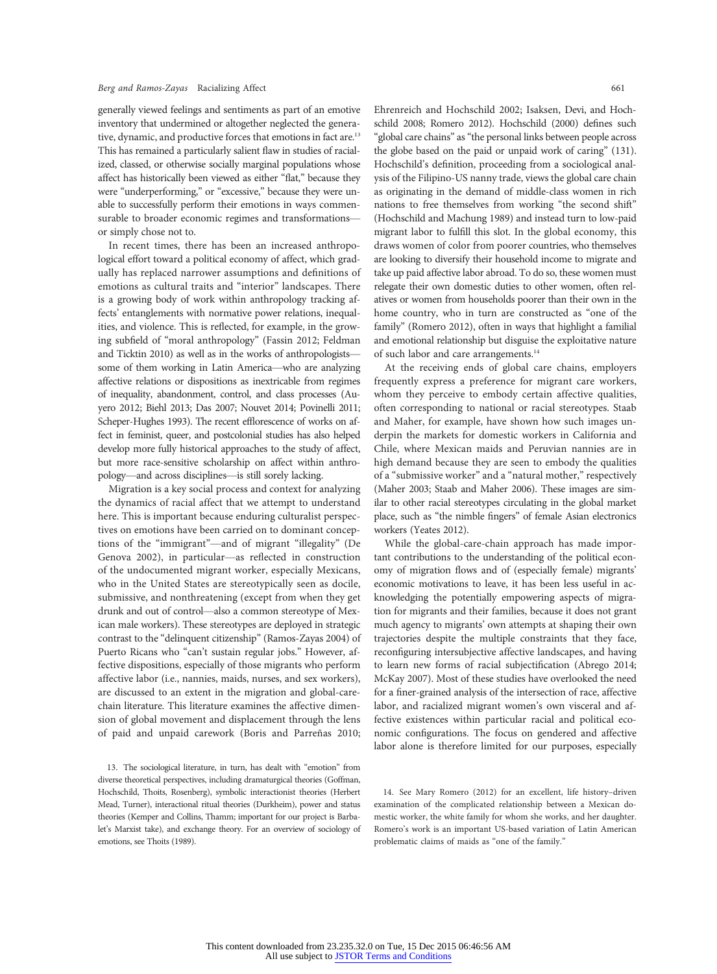generally viewed feelings and sentiments as part of an emotive inventory that undermined or altogether neglected the generative, dynamic, and productive forces that emotions in fact are.<sup>13</sup> This has remained a particularly salient flaw in studies of racialized, classed, or otherwise socially marginal populations whose affect has historically been viewed as either "flat," because they were "underperforming," or "excessive," because they were unable to successfully perform their emotions in ways commensurable to broader economic regimes and transformations or simply chose not to.

In recent times, there has been an increased anthropological effort toward a political economy of affect, which gradually has replaced narrower assumptions and definitions of emotions as cultural traits and "interior" landscapes. There is a growing body of work within anthropology tracking affects' entanglements with normative power relations, inequalities, and violence. This is reflected, for example, in the growing subfield of "moral anthropology" (Fassin 2012; Feldman and Ticktin 2010) as well as in the works of anthropologists some of them working in Latin America—who are analyzing affective relations or dispositions as inextricable from regimes of inequality, abandonment, control, and class processes (Auyero 2012; Biehl 2013; Das 2007; Nouvet 2014; Povinelli 2011; Scheper-Hughes 1993). The recent efflorescence of works on affect in feminist, queer, and postcolonial studies has also helped develop more fully historical approaches to the study of affect, but more race-sensitive scholarship on affect within anthropology—and across disciplines—is still sorely lacking.

Migration is a key social process and context for analyzing the dynamics of racial affect that we attempt to understand here. This is important because enduring culturalist perspectives on emotions have been carried on to dominant conceptions of the "immigrant"—and of migrant "illegality" (De Genova 2002), in particular—as reflected in construction of the undocumented migrant worker, especially Mexicans, who in the United States are stereotypically seen as docile, submissive, and nonthreatening (except from when they get drunk and out of control—also a common stereotype of Mexican male workers). These stereotypes are deployed in strategic contrast to the "delinquent citizenship" (Ramos-Zayas 2004) of Puerto Ricans who "can't sustain regular jobs." However, affective dispositions, especially of those migrants who perform affective labor (i.e., nannies, maids, nurses, and sex workers), are discussed to an extent in the migration and global-carechain literature. This literature examines the affective dimension of global movement and displacement through the lens of paid and unpaid carework (Boris and Parreñas 2010;

13. The sociological literature, in turn, has dealt with "emotion" from diverse theoretical perspectives, including dramaturgical theories (Goffman, Hochschild, Thoits, Rosenberg), symbolic interactionist theories (Herbert Mead, Turner), interactional ritual theories (Durkheim), power and status theories (Kemper and Collins, Thamm; important for our project is Barbalet's Marxist take), and exchange theory. For an overview of sociology of emotions, see Thoits (1989).

Ehrenreich and Hochschild 2002; Isaksen, Devi, and Hochschild 2008; Romero 2012). Hochschild (2000) defines such "global care chains" as"the personal links between people across the globe based on the paid or unpaid work of caring" (131). Hochschild's definition, proceeding from a sociological analysis of the Filipino-US nanny trade, views the global care chain as originating in the demand of middle-class women in rich nations to free themselves from working "the second shift" (Hochschild and Machung 1989) and instead turn to low-paid migrant labor to fulfill this slot. In the global economy, this draws women of color from poorer countries, who themselves are looking to diversify their household income to migrate and take up paid affective labor abroad. To do so, these women must relegate their own domestic duties to other women, often relatives or women from households poorer than their own in the home country, who in turn are constructed as "one of the family" (Romero 2012), often in ways that highlight a familial and emotional relationship but disguise the exploitative nature of such labor and care arrangements.14

At the receiving ends of global care chains, employers frequently express a preference for migrant care workers, whom they perceive to embody certain affective qualities, often corresponding to national or racial stereotypes. Staab and Maher, for example, have shown how such images underpin the markets for domestic workers in California and Chile, where Mexican maids and Peruvian nannies are in high demand because they are seen to embody the qualities of a "submissive worker" and a "natural mother," respectively (Maher 2003; Staab and Maher 2006). These images are similar to other racial stereotypes circulating in the global market place, such as "the nimble fingers" of female Asian electronics workers (Yeates 2012).

While the global-care-chain approach has made important contributions to the understanding of the political economy of migration flows and of (especially female) migrants' economic motivations to leave, it has been less useful in acknowledging the potentially empowering aspects of migration for migrants and their families, because it does not grant much agency to migrants' own attempts at shaping their own trajectories despite the multiple constraints that they face, reconfiguring intersubjective affective landscapes, and having to learn new forms of racial subjectification (Abrego 2014; McKay 2007). Most of these studies have overlooked the need for a finer-grained analysis of the intersection of race, affective labor, and racialized migrant women's own visceral and affective existences within particular racial and political economic configurations. The focus on gendered and affective labor alone is therefore limited for our purposes, especially

<sup>14.</sup> See Mary Romero (2012) for an excellent, life history–driven examination of the complicated relationship between a Mexican domestic worker, the white family for whom she works, and her daughter. Romero's work is an important US-based variation of Latin American problematic claims of maids as "one of the family."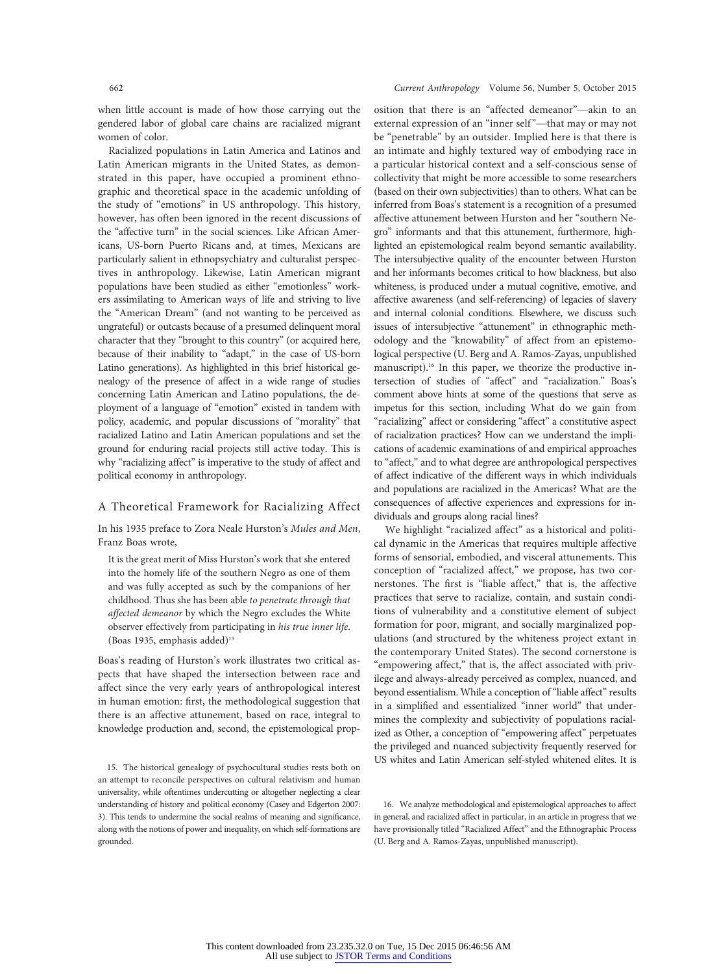when little account is made of how those carrying out the gendered labor of global care chains are racialized migrant women of color.

Racialized populations in Latin America and Latinos and Latin American migrants in the United States, as demonstrated in this paper, have occupied a prominent ethnographic and theoretical space in the academic unfolding of the study of "emotions" in US anthropology. This history, however, has often been ignored in the recent discussions of the "affective turn" in the social sciences. Like African Americans, US-born Puerto Ricans and, at times, Mexicans are particularly salient in ethnopsychiatry and culturalist perspectives in anthropology. Likewise, Latin American migrant populations have been studied as either "emotionless" workers assimilating to American ways of life and striving to live the "American Dream" (and not wanting to be perceived as ungrateful) or outcasts because of a presumed delinquent moral character that they "brought to this country" (or acquired here, because of their inability to "adapt," in the case of US-born Latino generations). As highlighted in this brief historical genealogy of the presence of affect in a wide range of studies concerning Latin American and Latino populations, the deployment of a language of "emotion" existed in tandem with policy, academic, and popular discussions of "morality" that racialized Latino and Latin American populations and set the ground for enduring racial projects still active today. This is why "racializing affect" is imperative to the study of affect and political economy in anthropology.

### A Theoretical Framework for Racializing Affect

In his 1935 preface to Zora Neale Hurston's Mules and Men, Franz Boas wrote,

It is the great merit of Miss Hurston's work that she entered into the homely life of the southern Negro as one of them and was fully accepted as such by the companions of her childhood. Thus she has been able to penetrate through that affected demeanor by which the Negro excludes the White observer effectively from participating in his true inner life. (Boas 1935, emphasis added)<sup>15</sup>

Boas's reading of Hurston's work illustrates two critical aspects that have shaped the intersection between race and affect since the very early years of anthropological interest in human emotion: first, the methodological suggestion that there is an affective attunement, based on race, integral to knowledge production and, second, the epistemological prop-

an attempt to reconcile perspectives on cultural relativism and human universality, while oftentimes undercutting or altogether neglecting a clear understanding of history and political economy (Casey and Edgerton 2007: 3). This tends to undermine the social realms of meaning and significance, along with the notions of power and inequality, on which self-formations are grounded.

osition that there is an "affected demeanor"—akin to an external expression of an "inner self"—that may or may not be "penetrable" by an outsider. Implied here is that there is an intimate and highly textured way of embodying race in a particular historical context and a self-conscious sense of collectivity that might be more accessible to some researchers (based on their own subjectivities) than to others. What can be inferred from Boas's statement is a recognition of a presumed affective attunement between Hurston and her "southern Negro" informants and that this attunement, furthermore, highlighted an epistemological realm beyond semantic availability. The intersubjective quality of the encounter between Hurston and her informants becomes critical to how blackness, but also whiteness, is produced under a mutual cognitive, emotive, and affective awareness (and self-referencing) of legacies of slavery and internal colonial conditions. Elsewhere, we discuss such issues of intersubjective "attunement" in ethnographic methodology and the "knowability" of affect from an epistemological perspective (U. Berg and A. Ramos-Zayas, unpublished manuscript).<sup>16</sup> In this paper, we theorize the productive intersection of studies of "affect" and "racialization." Boas's comment above hints at some of the questions that serve as impetus for this section, including What do we gain from "racializing" affect or considering "affect" a constitutive aspect of racialization practices? How can we understand the implications of academic examinations of and empirical approaches to "affect," and to what degree are anthropological perspectives of affect indicative of the different ways in which individuals and populations are racialized in the Americas? What are the consequences of affective experiences and expressions for individuals and groups along racial lines?

We highlight "racialized affect" as a historical and political dynamic in the Americas that requires multiple affective forms of sensorial, embodied, and visceral attunements. This conception of "racialized affect," we propose, has two cornerstones. The first is "liable affect," that is, the affective practices that serve to racialize, contain, and sustain conditions of vulnerability and a constitutive element of subject formation for poor, migrant, and socially marginalized populations (and structured by the whiteness project extant in the contemporary United States). The second cornerstone is "empowering affect," that is, the affect associated with privilege and always-already perceived as complex, nuanced, and beyond essentialism. While a conception of "liable affect" results in a simplified and essentialized "inner world" that undermines the complexity and subjectivity of populations racialized as Other, a conception of "empowering affect" perpetuates the privileged and nuanced subjectivity frequently reserved for US whites and Latin American self-styled whitened elites. It is 15. The historical genealogy of psychocultural studies rests both on

> 16. We analyze methodological and epistemological approaches to affect in general, and racialized affect in particular, in an article in progress that we have provisionally titled "Racialized Affect" and the Ethnographic Process (U. Berg and A. Ramos-Zayas, unpublished manuscript).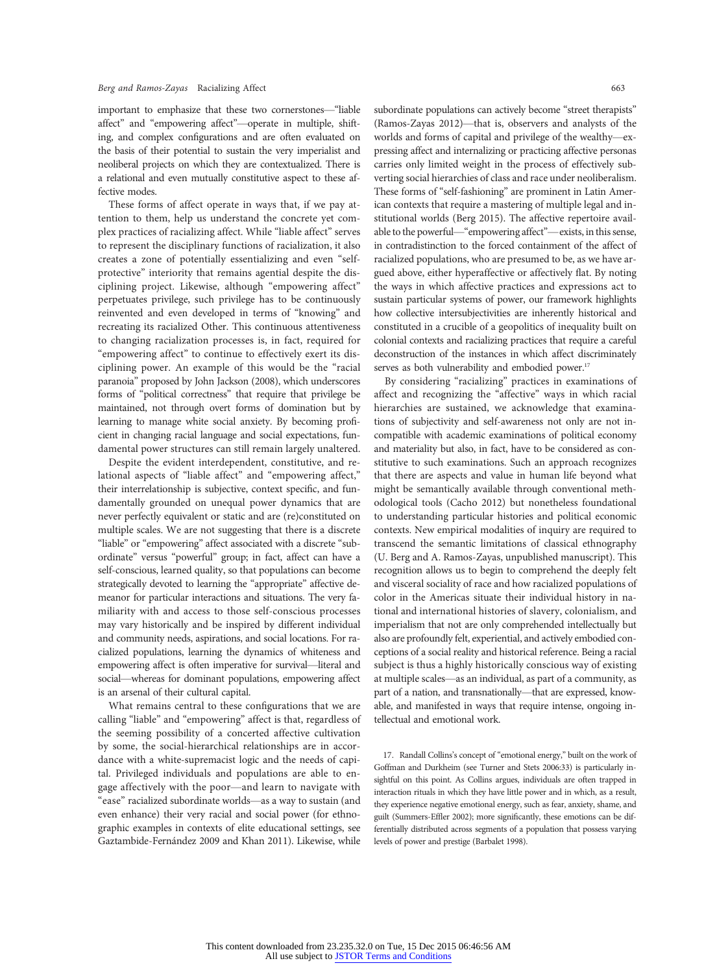important to emphasize that these two cornerstones—"liable affect" and "empowering affect"—operate in multiple, shifting, and complex configurations and are often evaluated on the basis of their potential to sustain the very imperialist and neoliberal projects on which they are contextualized. There is a relational and even mutually constitutive aspect to these affective modes.

These forms of affect operate in ways that, if we pay attention to them, help us understand the concrete yet complex practices of racializing affect. While "liable affect" serves to represent the disciplinary functions of racialization, it also creates a zone of potentially essentializing and even "selfprotective" interiority that remains agential despite the disciplining project. Likewise, although "empowering affect" perpetuates privilege, such privilege has to be continuously reinvented and even developed in terms of "knowing" and recreating its racialized Other. This continuous attentiveness to changing racialization processes is, in fact, required for "empowering affect" to continue to effectively exert its disciplining power. An example of this would be the "racial paranoia" proposed by John Jackson (2008), which underscores forms of "political correctness" that require that privilege be maintained, not through overt forms of domination but by learning to manage white social anxiety. By becoming proficient in changing racial language and social expectations, fundamental power structures can still remain largely unaltered.

Despite the evident interdependent, constitutive, and relational aspects of "liable affect" and "empowering affect," their interrelationship is subjective, context specific, and fundamentally grounded on unequal power dynamics that are never perfectly equivalent or static and are (re)constituted on multiple scales. We are not suggesting that there is a discrete "liable" or "empowering" affect associated with a discrete "subordinate" versus "powerful" group; in fact, affect can have a self-conscious, learned quality, so that populations can become strategically devoted to learning the "appropriate" affective demeanor for particular interactions and situations. The very familiarity with and access to those self-conscious processes may vary historically and be inspired by different individual and community needs, aspirations, and social locations. For racialized populations, learning the dynamics of whiteness and empowering affect is often imperative for survival—literal and social—whereas for dominant populations, empowering affect is an arsenal of their cultural capital.

What remains central to these configurations that we are calling "liable" and "empowering" affect is that, regardless of the seeming possibility of a concerted affective cultivation by some, the social-hierarchical relationships are in accordance with a white-supremacist logic and the needs of capital. Privileged individuals and populations are able to engage affectively with the poor—and learn to navigate with "ease" racialized subordinate worlds—as a way to sustain (and even enhance) their very racial and social power (for ethnographic examples in contexts of elite educational settings, see Gaztambide-Fernández 2009 and Khan 2011). Likewise, while subordinate populations can actively become "street therapists" (Ramos-Zayas 2012)—that is, observers and analysts of the worlds and forms of capital and privilege of the wealthy—expressing affect and internalizing or practicing affective personas carries only limited weight in the process of effectively subverting social hierarchies of class and race under neoliberalism. These forms of "self-fashioning" are prominent in Latin American contexts that require a mastering of multiple legal and institutional worlds (Berg 2015). The affective repertoire available to the powerful—"empowering affect"—exists, in this sense, in contradistinction to the forced containment of the affect of racialized populations, who are presumed to be, as we have argued above, either hyperaffective or affectively flat. By noting the ways in which affective practices and expressions act to sustain particular systems of power, our framework highlights how collective intersubjectivities are inherently historical and constituted in a crucible of a geopolitics of inequality built on colonial contexts and racializing practices that require a careful deconstruction of the instances in which affect discriminately serves as both vulnerability and embodied power.<sup>17</sup>

By considering "racializing" practices in examinations of affect and recognizing the "affective" ways in which racial hierarchies are sustained, we acknowledge that examinations of subjectivity and self-awareness not only are not incompatible with academic examinations of political economy and materiality but also, in fact, have to be considered as constitutive to such examinations. Such an approach recognizes that there are aspects and value in human life beyond what might be semantically available through conventional methodological tools (Cacho 2012) but nonetheless foundational to understanding particular histories and political economic contexts. New empirical modalities of inquiry are required to transcend the semantic limitations of classical ethnography (U. Berg and A. Ramos-Zayas, unpublished manuscript). This recognition allows us to begin to comprehend the deeply felt and visceral sociality of race and how racialized populations of color in the Americas situate their individual history in national and international histories of slavery, colonialism, and imperialism that not are only comprehended intellectually but also are profoundly felt, experiential, and actively embodied conceptions of a social reality and historical reference. Being a racial subject is thus a highly historically conscious way of existing at multiple scales—as an individual, as part of a community, as part of a nation, and transnationally—that are expressed, knowable, and manifested in ways that require intense, ongoing intellectual and emotional work.

17. Randall Collins's concept of "emotional energy," built on the work of Goffman and Durkheim (see Turner and Stets 2006:33) is particularly insightful on this point. As Collins argues, individuals are often trapped in interaction rituals in which they have little power and in which, as a result, they experience negative emotional energy, such as fear, anxiety, shame, and guilt (Summers-Effler 2002); more significantly, these emotions can be differentially distributed across segments of a population that possess varying levels of power and prestige (Barbalet 1998).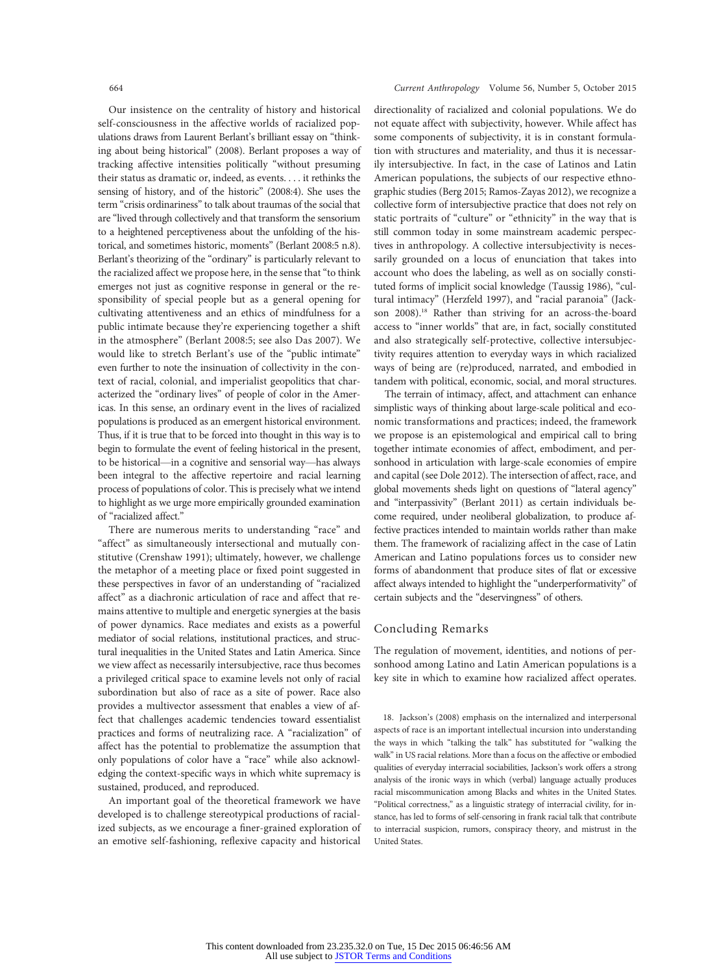664 Current Anthropology Volume 56, Number 5, October 2015

Our insistence on the centrality of history and historical self-consciousness in the affective worlds of racialized populations draws from Laurent Berlant's brilliant essay on "thinking about being historical" (2008). Berlant proposes a way of tracking affective intensities politically "without presuming their status as dramatic or, indeed, as events. . . . it rethinks the sensing of history, and of the historic" (2008:4). She uses the term "crisis ordinariness"to talk about traumas of the social that are "lived through collectively and that transform the sensorium to a heightened perceptiveness about the unfolding of the historical, and sometimes historic, moments" (Berlant 2008:5 n.8). Berlant's theorizing of the "ordinary" is particularly relevant to the racialized affect we propose here, in the sense that "to think emerges not just as cognitive response in general or the responsibility of special people but as a general opening for cultivating attentiveness and an ethics of mindfulness for a public intimate because they're experiencing together a shift in the atmosphere" (Berlant 2008:5; see also Das 2007). We would like to stretch Berlant's use of the "public intimate" even further to note the insinuation of collectivity in the context of racial, colonial, and imperialist geopolitics that characterized the "ordinary lives" of people of color in the Americas. In this sense, an ordinary event in the lives of racialized populations is produced as an emergent historical environment. Thus, if it is true that to be forced into thought in this way is to begin to formulate the event of feeling historical in the present, to be historical—in a cognitive and sensorial way—has always been integral to the affective repertoire and racial learning process of populations of color. This is precisely what we intend to highlight as we urge more empirically grounded examination of "racialized affect."

There are numerous merits to understanding "race" and "affect" as simultaneously intersectional and mutually constitutive (Crenshaw 1991); ultimately, however, we challenge the metaphor of a meeting place or fixed point suggested in these perspectives in favor of an understanding of "racialized affect" as a diachronic articulation of race and affect that remains attentive to multiple and energetic synergies at the basis of power dynamics. Race mediates and exists as a powerful mediator of social relations, institutional practices, and structural inequalities in the United States and Latin America. Since we view affect as necessarily intersubjective, race thus becomes a privileged critical space to examine levels not only of racial subordination but also of race as a site of power. Race also provides a multivector assessment that enables a view of affect that challenges academic tendencies toward essentialist practices and forms of neutralizing race. A "racialization" of affect has the potential to problematize the assumption that only populations of color have a "race" while also acknowledging the context-specific ways in which white supremacy is sustained, produced, and reproduced.

An important goal of the theoretical framework we have developed is to challenge stereotypical productions of racialized subjects, as we encourage a finer-grained exploration of an emotive self-fashioning, reflexive capacity and historical

directionality of racialized and colonial populations. We do not equate affect with subjectivity, however. While affect has some components of subjectivity, it is in constant formulation with structures and materiality, and thus it is necessarily intersubjective. In fact, in the case of Latinos and Latin American populations, the subjects of our respective ethnographic studies (Berg 2015; Ramos-Zayas 2012), we recognize a collective form of intersubjective practice that does not rely on static portraits of "culture" or "ethnicity" in the way that is still common today in some mainstream academic perspectives in anthropology. A collective intersubjectivity is necessarily grounded on a locus of enunciation that takes into account who does the labeling, as well as on socially constituted forms of implicit social knowledge (Taussig 1986), "cultural intimacy" (Herzfeld 1997), and "racial paranoia" (Jackson 2008).<sup>18</sup> Rather than striving for an across-the-board access to "inner worlds" that are, in fact, socially constituted and also strategically self-protective, collective intersubjectivity requires attention to everyday ways in which racialized ways of being are (re)produced, narrated, and embodied in tandem with political, economic, social, and moral structures.

The terrain of intimacy, affect, and attachment can enhance simplistic ways of thinking about large-scale political and economic transformations and practices; indeed, the framework we propose is an epistemological and empirical call to bring together intimate economies of affect, embodiment, and personhood in articulation with large-scale economies of empire and capital (see Dole 2012). The intersection of affect, race, and global movements sheds light on questions of "lateral agency" and "interpassivity" (Berlant 2011) as certain individuals become required, under neoliberal globalization, to produce affective practices intended to maintain worlds rather than make them. The framework of racializing affect in the case of Latin American and Latino populations forces us to consider new forms of abandonment that produce sites of flat or excessive affect always intended to highlight the "underperformativity" of certain subjects and the "deservingness" of others.

#### Concluding Remarks

The regulation of movement, identities, and notions of personhood among Latino and Latin American populations is a key site in which to examine how racialized affect operates.

18. Jackson's (2008) emphasis on the internalized and interpersonal aspects of race is an important intellectual incursion into understanding the ways in which "talking the talk" has substituted for "walking the walk" in US racial relations. More than a focus on the affective or embodied qualities of everyday interracial sociabilities, Jackson's work offers a strong analysis of the ironic ways in which (verbal) language actually produces racial miscommunication among Blacks and whites in the United States. "Political correctness," as a linguistic strategy of interracial civility, for instance, has led to forms of self-censoring in frank racial talk that contribute to interracial suspicion, rumors, conspiracy theory, and mistrust in the United States.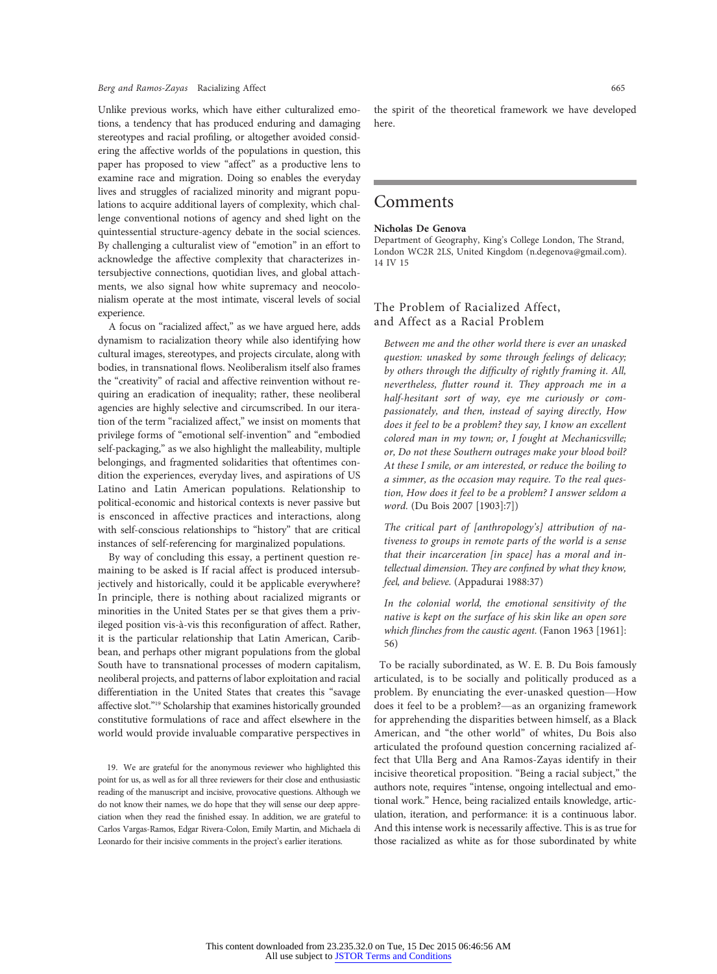Unlike previous works, which have either culturalized emotions, a tendency that has produced enduring and damaging stereotypes and racial profiling, or altogether avoided considering the affective worlds of the populations in question, this paper has proposed to view "affect" as a productive lens to examine race and migration. Doing so enables the everyday lives and struggles of racialized minority and migrant populations to acquire additional layers of complexity, which challenge conventional notions of agency and shed light on the quintessential structure-agency debate in the social sciences. By challenging a culturalist view of "emotion" in an effort to acknowledge the affective complexity that characterizes intersubjective connections, quotidian lives, and global attachments, we also signal how white supremacy and neocolonialism operate at the most intimate, visceral levels of social experience.

A focus on "racialized affect," as we have argued here, adds dynamism to racialization theory while also identifying how cultural images, stereotypes, and projects circulate, along with bodies, in transnational flows. Neoliberalism itself also frames the "creativity" of racial and affective reinvention without requiring an eradication of inequality; rather, these neoliberal agencies are highly selective and circumscribed. In our iteration of the term "racialized affect," we insist on moments that privilege forms of "emotional self-invention" and "embodied self-packaging," as we also highlight the malleability, multiple belongings, and fragmented solidarities that oftentimes condition the experiences, everyday lives, and aspirations of US Latino and Latin American populations. Relationship to political-economic and historical contexts is never passive but is ensconced in affective practices and interactions, along with self-conscious relationships to "history" that are critical instances of self-referencing for marginalized populations.

By way of concluding this essay, a pertinent question remaining to be asked is If racial affect is produced intersubjectively and historically, could it be applicable everywhere? In principle, there is nothing about racialized migrants or minorities in the United States per se that gives them a privileged position vis-à-vis this reconfiguration of affect. Rather, it is the particular relationship that Latin American, Caribbean, and perhaps other migrant populations from the global South have to transnational processes of modern capitalism, neoliberal projects, and patterns of labor exploitation and racial differentiation in the United States that creates this "savage affective slot."<sup>19</sup> Scholarship that examines historically grounded constitutive formulations of race and affect elsewhere in the world would provide invaluable comparative perspectives in

19. We are grateful for the anonymous reviewer who highlighted this point for us, as well as for all three reviewers for their close and enthusiastic reading of the manuscript and incisive, provocative questions. Although we do not know their names, we do hope that they will sense our deep appreciation when they read the finished essay. In addition, we are grateful to Carlos Vargas-Ramos, Edgar Rivera-Colon, Emily Martin, and Michaela di Leonardo for their incisive comments in the project's earlier iterations.

the spirit of the theoretical framework we have developed here.

## Comments

#### Nicholas De Genova

Department of Geography, King's College London, The Strand, London WC2R 2LS, United Kingdom (n.degenova@gmail.com). 14 IV 15

## The Problem of Racialized Affect, and Affect as a Racial Problem

Between me and the other world there is ever an unasked question: unasked by some through feelings of delicacy; by others through the difficulty of rightly framing it. All, nevertheless, flutter round it. They approach me in a half-hesitant sort of way, eye me curiously or compassionately, and then, instead of saying directly, How does it feel to be a problem? they say, I know an excellent colored man in my town; or, I fought at Mechanicsville; or, Do not these Southern outrages make your blood boil? At these I smile, or am interested, or reduce the boiling to a simmer, as the occasion may require. To the real question, How does it feel to be a problem? I answer seldom a word. (Du Bois 2007 [1903]:7])

The critical part of [anthropology's] attribution of nativeness to groups in remote parts of the world is a sense that their incarceration [in space] has a moral and intellectual dimension. They are confined by what they know, feel, and believe. (Appadurai 1988:37)

In the colonial world, the emotional sensitivity of the native is kept on the surface of his skin like an open sore which flinches from the caustic agent. (Fanon 1963 [1961]: 56)

To be racially subordinated, as W. E. B. Du Bois famously articulated, is to be socially and politically produced as a problem. By enunciating the ever-unasked question—How does it feel to be a problem?—as an organizing framework for apprehending the disparities between himself, as a Black American, and "the other world" of whites, Du Bois also articulated the profound question concerning racialized affect that Ulla Berg and Ana Ramos-Zayas identify in their incisive theoretical proposition. "Being a racial subject," the authors note, requires "intense, ongoing intellectual and emotional work." Hence, being racialized entails knowledge, articulation, iteration, and performance: it is a continuous labor. And this intense work is necessarily affective. This is as true for those racialized as white as for those subordinated by white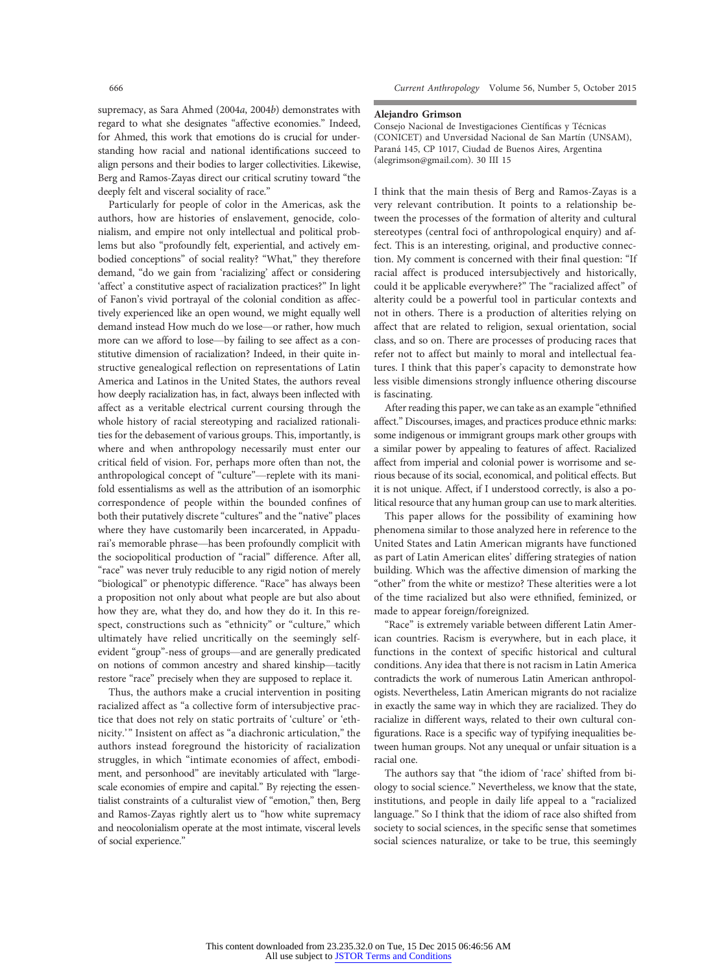supremacy, as Sara Ahmed (2004a, 2004b) demonstrates with regard to what she designates "affective economies." Indeed, for Ahmed, this work that emotions do is crucial for understanding how racial and national identifications succeed to align persons and their bodies to larger collectivities. Likewise, Berg and Ramos-Zayas direct our critical scrutiny toward "the deeply felt and visceral sociality of race."

Particularly for people of color in the Americas, ask the authors, how are histories of enslavement, genocide, colonialism, and empire not only intellectual and political problems but also "profoundly felt, experiential, and actively embodied conceptions" of social reality? "What," they therefore demand, "do we gain from 'racializing' affect or considering 'affect' a constitutive aspect of racialization practices?" In light of Fanon's vivid portrayal of the colonial condition as affectively experienced like an open wound, we might equally well demand instead How much do we lose—or rather, how much more can we afford to lose—by failing to see affect as a constitutive dimension of racialization? Indeed, in their quite instructive genealogical reflection on representations of Latin America and Latinos in the United States, the authors reveal how deeply racialization has, in fact, always been inflected with affect as a veritable electrical current coursing through the whole history of racial stereotyping and racialized rationalities for the debasement of various groups. This, importantly, is where and when anthropology necessarily must enter our critical field of vision. For, perhaps more often than not, the anthropological concept of "culture"—replete with its manifold essentialisms as well as the attribution of an isomorphic correspondence of people within the bounded confines of both their putatively discrete "cultures" and the "native" places where they have customarily been incarcerated, in Appadurai's memorable phrase—has been profoundly complicit with the sociopolitical production of "racial" difference. After all, "race" was never truly reducible to any rigid notion of merely "biological" or phenotypic difference. "Race" has always been a proposition not only about what people are but also about how they are, what they do, and how they do it. In this respect, constructions such as "ethnicity" or "culture," which ultimately have relied uncritically on the seemingly selfevident "group"-ness of groups—and are generally predicated on notions of common ancestry and shared kinship—tacitly restore "race" precisely when they are supposed to replace it.

Thus, the authors make a crucial intervention in positing racialized affect as "a collective form of intersubjective practice that does not rely on static portraits of 'culture' or 'ethnicity.'" Insistent on affect as "a diachronic articulation," the authors instead foreground the historicity of racialization struggles, in which "intimate economies of affect, embodiment, and personhood" are inevitably articulated with "largescale economies of empire and capital." By rejecting the essentialist constraints of a culturalist view of "emotion," then, Berg and Ramos-Zayas rightly alert us to "how white supremacy and neocolonialism operate at the most intimate, visceral levels of social experience."

#### Alejandro Grimson

Consejo Nacional de Investigaciones Científicas y Técnicas (CONICET) and Unversidad Nacional de San Martín (UNSAM), Paraná 145, CP 1017, Ciudad de Buenos Aires, Argentina (alegrimson@gmail.com). 30 III 15

I think that the main thesis of Berg and Ramos-Zayas is a very relevant contribution. It points to a relationship between the processes of the formation of alterity and cultural stereotypes (central foci of anthropological enquiry) and affect. This is an interesting, original, and productive connection. My comment is concerned with their final question: "If racial affect is produced intersubjectively and historically, could it be applicable everywhere?" The "racialized affect" of alterity could be a powerful tool in particular contexts and not in others. There is a production of alterities relying on affect that are related to religion, sexual orientation, social class, and so on. There are processes of producing races that refer not to affect but mainly to moral and intellectual features. I think that this paper's capacity to demonstrate how less visible dimensions strongly influence othering discourse is fascinating.

After reading this paper, we can take as an example "ethnified affect." Discourses, images, and practices produce ethnic marks: some indigenous or immigrant groups mark other groups with a similar power by appealing to features of affect. Racialized affect from imperial and colonial power is worrisome and serious because of its social, economical, and political effects. But it is not unique. Affect, if I understood correctly, is also a political resource that any human group can use to mark alterities.

This paper allows for the possibility of examining how phenomena similar to those analyzed here in reference to the United States and Latin American migrants have functioned as part of Latin American elites' differing strategies of nation building. Which was the affective dimension of marking the "other" from the white or mestizo? These alterities were a lot of the time racialized but also were ethnified, feminized, or made to appear foreign/foreignized.

"Race" is extremely variable between different Latin American countries. Racism is everywhere, but in each place, it functions in the context of specific historical and cultural conditions. Any idea that there is not racism in Latin America contradicts the work of numerous Latin American anthropologists. Nevertheless, Latin American migrants do not racialize in exactly the same way in which they are racialized. They do racialize in different ways, related to their own cultural configurations. Race is a specific way of typifying inequalities between human groups. Not any unequal or unfair situation is a racial one.

The authors say that "the idiom of 'race' shifted from biology to social science." Nevertheless, we know that the state, institutions, and people in daily life appeal to a "racialized language." So I think that the idiom of race also shifted from society to social sciences, in the specific sense that sometimes social sciences naturalize, or take to be true, this seemingly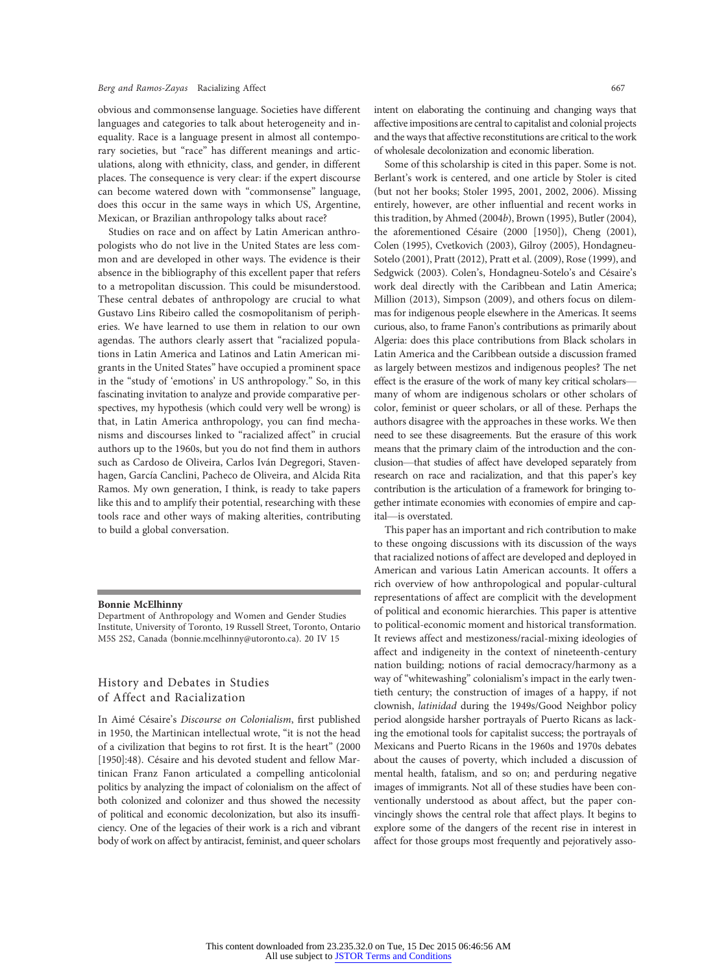obvious and commonsense language. Societies have different languages and categories to talk about heterogeneity and inequality. Race is a language present in almost all contemporary societies, but "race" has different meanings and articulations, along with ethnicity, class, and gender, in different places. The consequence is very clear: if the expert discourse can become watered down with "commonsense" language, does this occur in the same ways in which US, Argentine, Mexican, or Brazilian anthropology talks about race?

Studies on race and on affect by Latin American anthropologists who do not live in the United States are less common and are developed in other ways. The evidence is their absence in the bibliography of this excellent paper that refers to a metropolitan discussion. This could be misunderstood. These central debates of anthropology are crucial to what Gustavo Lins Ribeiro called the cosmopolitanism of peripheries. We have learned to use them in relation to our own agendas. The authors clearly assert that "racialized populations in Latin America and Latinos and Latin American migrants in the United States" have occupied a prominent space in the "study of 'emotions' in US anthropology." So, in this fascinating invitation to analyze and provide comparative perspectives, my hypothesis (which could very well be wrong) is that, in Latin America anthropology, you can find mechanisms and discourses linked to "racialized affect" in crucial authors up to the 1960s, but you do not find them in authors such as Cardoso de Oliveira, Carlos Iván Degregori, Stavenhagen, García Canclini, Pacheco de Oliveira, and Alcida Rita Ramos. My own generation, I think, is ready to take papers like this and to amplify their potential, researching with these tools race and other ways of making alterities, contributing to build a global conversation.

#### Bonnie McElhinny

Department of Anthropology and Women and Gender Studies Institute, University of Toronto, 19 Russell Street, Toronto, Ontario M5S 2S2, Canada (bonnie.mcelhinny@utoronto.ca). 20 IV 15

## History and Debates in Studies of Affect and Racialization

In Aimé Césaire's Discourse on Colonialism, first published in 1950, the Martinican intellectual wrote, "it is not the head of a civilization that begins to rot first. It is the heart" (2000 [1950]:48). Césaire and his devoted student and fellow Martinican Franz Fanon articulated a compelling anticolonial politics by analyzing the impact of colonialism on the affect of both colonized and colonizer and thus showed the necessity of political and economic decolonization, but also its insufficiency. One of the legacies of their work is a rich and vibrant body of work on affect by antiracist, feminist, and queer scholars

intent on elaborating the continuing and changing ways that affective impositions are central to capitalist and colonial projects and the ways that affective reconstitutions are critical to the work of wholesale decolonization and economic liberation.

Some of this scholarship is cited in this paper. Some is not. Berlant's work is centered, and one article by Stoler is cited (but not her books; Stoler 1995, 2001, 2002, 2006). Missing entirely, however, are other influential and recent works in this tradition, by Ahmed (2004b), Brown (1995), Butler (2004), the aforementioned Césaire (2000 [1950]), Cheng (2001), Colen (1995), Cvetkovich (2003), Gilroy (2005), Hondagneu-Sotelo (2001), Pratt (2012), Pratt et al. (2009), Rose (1999), and Sedgwick (2003). Colen's, Hondagneu-Sotelo's and Césaire's work deal directly with the Caribbean and Latin America; Million (2013), Simpson (2009), and others focus on dilemmas for indigenous people elsewhere in the Americas. It seems curious, also, to frame Fanon's contributions as primarily about Algeria: does this place contributions from Black scholars in Latin America and the Caribbean outside a discussion framed as largely between mestizos and indigenous peoples? The net effect is the erasure of the work of many key critical scholars many of whom are indigenous scholars or other scholars of color, feminist or queer scholars, or all of these. Perhaps the authors disagree with the approaches in these works. We then need to see these disagreements. But the erasure of this work means that the primary claim of the introduction and the conclusion—that studies of affect have developed separately from research on race and racialization, and that this paper's key contribution is the articulation of a framework for bringing together intimate economies with economies of empire and capital—is overstated.

This paper has an important and rich contribution to make to these ongoing discussions with its discussion of the ways that racialized notions of affect are developed and deployed in American and various Latin American accounts. It offers a rich overview of how anthropological and popular-cultural representations of affect are complicit with the development of political and economic hierarchies. This paper is attentive to political-economic moment and historical transformation. It reviews affect and mestizoness/racial-mixing ideologies of affect and indigeneity in the context of nineteenth-century nation building; notions of racial democracy/harmony as a way of "whitewashing" colonialism's impact in the early twentieth century; the construction of images of a happy, if not clownish, latinidad during the 1949s/Good Neighbor policy period alongside harsher portrayals of Puerto Ricans as lacking the emotional tools for capitalist success; the portrayals of Mexicans and Puerto Ricans in the 1960s and 1970s debates about the causes of poverty, which included a discussion of mental health, fatalism, and so on; and perduring negative images of immigrants. Not all of these studies have been conventionally understood as about affect, but the paper convincingly shows the central role that affect plays. It begins to explore some of the dangers of the recent rise in interest in affect for those groups most frequently and pejoratively asso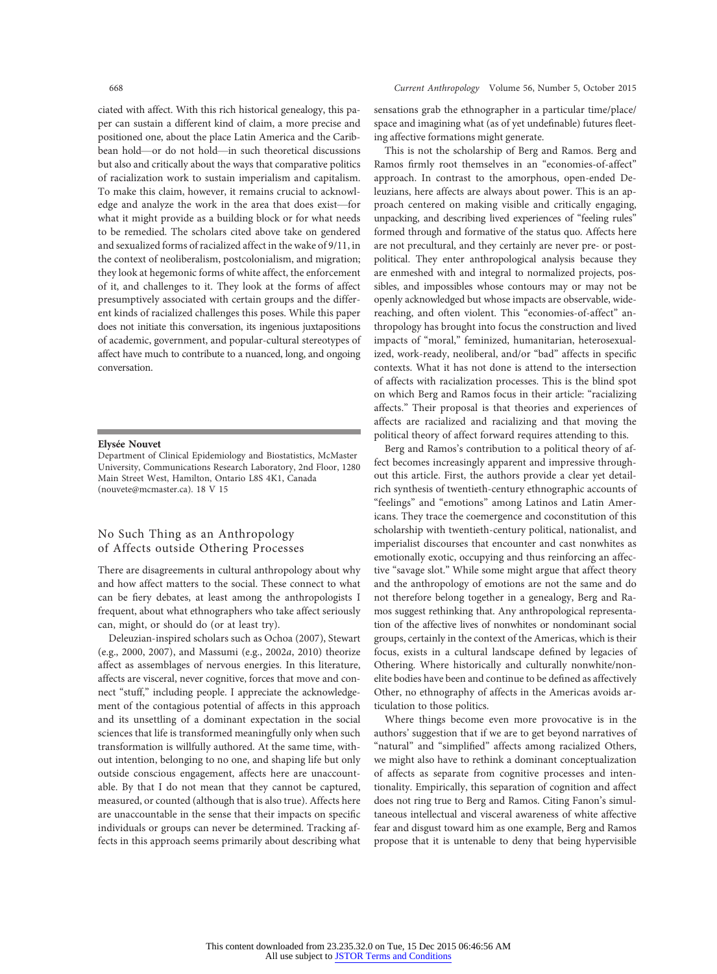ciated with affect. With this rich historical genealogy, this paper can sustain a different kind of claim, a more precise and positioned one, about the place Latin America and the Caribbean hold—or do not hold—in such theoretical discussions but also and critically about the ways that comparative politics of racialization work to sustain imperialism and capitalism. To make this claim, however, it remains crucial to acknowledge and analyze the work in the area that does exist—for what it might provide as a building block or for what needs to be remedied. The scholars cited above take on gendered and sexualized forms of racialized affect in the wake of 9/11, in the context of neoliberalism, postcolonialism, and migration; they look at hegemonic forms of white affect, the enforcement of it, and challenges to it. They look at the forms of affect presumptively associated with certain groups and the different kinds of racialized challenges this poses. While this paper does not initiate this conversation, its ingenious juxtapositions of academic, government, and popular-cultural stereotypes of affect have much to contribute to a nuanced, long, and ongoing conversation.

#### Elysée Nouvet

Department of Clinical Epidemiology and Biostatistics, McMaster University, Communications Research Laboratory, 2nd Floor, 1280 Main Street West, Hamilton, Ontario L8S 4K1, Canada (nouvete@mcmaster.ca). 18 V 15

## No Such Thing as an Anthropology of Affects outside Othering Processes

There are disagreements in cultural anthropology about why and how affect matters to the social. These connect to what can be fiery debates, at least among the anthropologists I frequent, about what ethnographers who take affect seriously can, might, or should do (or at least try).

Deleuzian-inspired scholars such as Ochoa (2007), Stewart (e.g., 2000, 2007), and Massumi (e.g., 2002a, 2010) theorize affect as assemblages of nervous energies. In this literature, affects are visceral, never cognitive, forces that move and connect "stuff," including people. I appreciate the acknowledgement of the contagious potential of affects in this approach and its unsettling of a dominant expectation in the social sciences that life is transformed meaningfully only when such transformation is willfully authored. At the same time, without intention, belonging to no one, and shaping life but only outside conscious engagement, affects here are unaccountable. By that I do not mean that they cannot be captured, measured, or counted (although that is also true). Affects here are unaccountable in the sense that their impacts on specific individuals or groups can never be determined. Tracking affects in this approach seems primarily about describing what

sensations grab the ethnographer in a particular time/place/ space and imagining what (as of yet undefinable) futures fleeting affective formations might generate.

This is not the scholarship of Berg and Ramos. Berg and Ramos firmly root themselves in an "economies-of-affect" approach. In contrast to the amorphous, open-ended Deleuzians, here affects are always about power. This is an approach centered on making visible and critically engaging, unpacking, and describing lived experiences of "feeling rules" formed through and formative of the status quo. Affects here are not precultural, and they certainly are never pre- or postpolitical. They enter anthropological analysis because they are enmeshed with and integral to normalized projects, possibles, and impossibles whose contours may or may not be openly acknowledged but whose impacts are observable, widereaching, and often violent. This "economies-of-affect" anthropology has brought into focus the construction and lived impacts of "moral," feminized, humanitarian, heterosexualized, work-ready, neoliberal, and/or "bad" affects in specific contexts. What it has not done is attend to the intersection of affects with racialization processes. This is the blind spot on which Berg and Ramos focus in their article: "racializing affects." Their proposal is that theories and experiences of affects are racialized and racializing and that moving the political theory of affect forward requires attending to this.

Berg and Ramos's contribution to a political theory of affect becomes increasingly apparent and impressive throughout this article. First, the authors provide a clear yet detailrich synthesis of twentieth-century ethnographic accounts of "feelings" and "emotions" among Latinos and Latin Americans. They trace the coemergence and coconstitution of this scholarship with twentieth-century political, nationalist, and imperialist discourses that encounter and cast nonwhites as emotionally exotic, occupying and thus reinforcing an affective "savage slot." While some might argue that affect theory and the anthropology of emotions are not the same and do not therefore belong together in a genealogy, Berg and Ramos suggest rethinking that. Any anthropological representation of the affective lives of nonwhites or nondominant social groups, certainly in the context of the Americas, which is their focus, exists in a cultural landscape defined by legacies of Othering. Where historically and culturally nonwhite/nonelite bodies have been and continue to be defined as affectively Other, no ethnography of affects in the Americas avoids articulation to those politics.

Where things become even more provocative is in the authors' suggestion that if we are to get beyond narratives of "natural" and "simplified" affects among racialized Others, we might also have to rethink a dominant conceptualization of affects as separate from cognitive processes and intentionality. Empirically, this separation of cognition and affect does not ring true to Berg and Ramos. Citing Fanon's simultaneous intellectual and visceral awareness of white affective fear and disgust toward him as one example, Berg and Ramos propose that it is untenable to deny that being hypervisible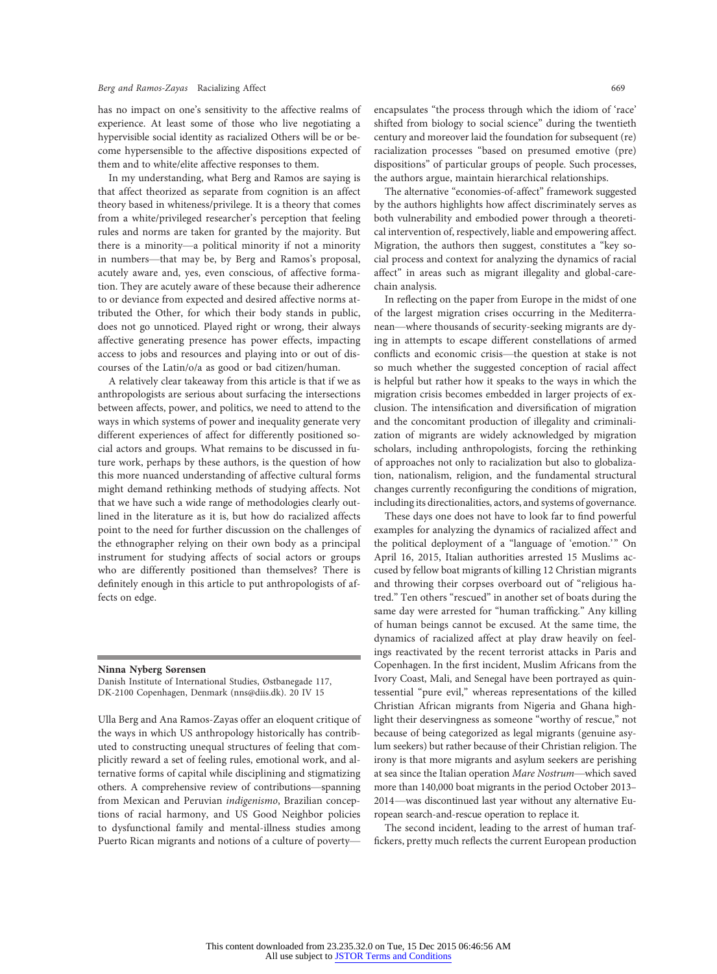has no impact on one's sensitivity to the affective realms of experience. At least some of those who live negotiating a hypervisible social identity as racialized Others will be or become hypersensible to the affective dispositions expected of them and to white/elite affective responses to them.

In my understanding, what Berg and Ramos are saying is that affect theorized as separate from cognition is an affect theory based in whiteness/privilege. It is a theory that comes from a white/privileged researcher's perception that feeling rules and norms are taken for granted by the majority. But there is a minority—a political minority if not a minority in numbers—that may be, by Berg and Ramos's proposal, acutely aware and, yes, even conscious, of affective formation. They are acutely aware of these because their adherence to or deviance from expected and desired affective norms attributed the Other, for which their body stands in public, does not go unnoticed. Played right or wrong, their always affective generating presence has power effects, impacting access to jobs and resources and playing into or out of discourses of the Latin/o/a as good or bad citizen/human.

A relatively clear takeaway from this article is that if we as anthropologists are serious about surfacing the intersections between affects, power, and politics, we need to attend to the ways in which systems of power and inequality generate very different experiences of affect for differently positioned social actors and groups. What remains to be discussed in future work, perhaps by these authors, is the question of how this more nuanced understanding of affective cultural forms might demand rethinking methods of studying affects. Not that we have such a wide range of methodologies clearly outlined in the literature as it is, but how do racialized affects point to the need for further discussion on the challenges of the ethnographer relying on their own body as a principal instrument for studying affects of social actors or groups who are differently positioned than themselves? There is definitely enough in this article to put anthropologists of affects on edge.

Ninna Nyberg Sørensen

Danish Institute of International Studies, Østbanegade 117, DK-2100 Copenhagen, Denmark (nns@diis.dk). 20 IV 15

Ulla Berg and Ana Ramos-Zayas offer an eloquent critique of the ways in which US anthropology historically has contributed to constructing unequal structures of feeling that complicitly reward a set of feeling rules, emotional work, and alternative forms of capital while disciplining and stigmatizing others. A comprehensive review of contributions—spanning from Mexican and Peruvian indigenismo, Brazilian conceptions of racial harmony, and US Good Neighbor policies to dysfunctional family and mental-illness studies among Puerto Rican migrants and notions of a culture of povertyencapsulates "the process through which the idiom of 'race' shifted from biology to social science" during the twentieth century and moreover laid the foundation for subsequent (re) racialization processes "based on presumed emotive (pre) dispositions" of particular groups of people. Such processes, the authors argue, maintain hierarchical relationships.

The alternative "economies-of-affect" framework suggested by the authors highlights how affect discriminately serves as both vulnerability and embodied power through a theoretical intervention of, respectively, liable and empowering affect. Migration, the authors then suggest, constitutes a "key social process and context for analyzing the dynamics of racial affect" in areas such as migrant illegality and global-carechain analysis.

In reflecting on the paper from Europe in the midst of one of the largest migration crises occurring in the Mediterranean—where thousands of security-seeking migrants are dying in attempts to escape different constellations of armed conflicts and economic crisis—the question at stake is not so much whether the suggested conception of racial affect is helpful but rather how it speaks to the ways in which the migration crisis becomes embedded in larger projects of exclusion. The intensification and diversification of migration and the concomitant production of illegality and criminalization of migrants are widely acknowledged by migration scholars, including anthropologists, forcing the rethinking of approaches not only to racialization but also to globalization, nationalism, religion, and the fundamental structural changes currently reconfiguring the conditions of migration, including its directionalities, actors, and systems of governance.

These days one does not have to look far to find powerful examples for analyzing the dynamics of racialized affect and the political deployment of a "language of 'emotion.'" On April 16, 2015, Italian authorities arrested 15 Muslims accused by fellow boat migrants of killing 12 Christian migrants and throwing their corpses overboard out of "religious hatred." Ten others "rescued" in another set of boats during the same day were arrested for "human trafficking." Any killing of human beings cannot be excused. At the same time, the dynamics of racialized affect at play draw heavily on feelings reactivated by the recent terrorist attacks in Paris and Copenhagen. In the first incident, Muslim Africans from the Ivory Coast, Mali, and Senegal have been portrayed as quintessential "pure evil," whereas representations of the killed Christian African migrants from Nigeria and Ghana highlight their deservingness as someone "worthy of rescue," not because of being categorized as legal migrants (genuine asylum seekers) but rather because of their Christian religion. The irony is that more migrants and asylum seekers are perishing at sea since the Italian operation Mare Nostrum—which saved more than 140,000 boat migrants in the period October 2013– 2014—was discontinued last year without any alternative European search-and-rescue operation to replace it.

The second incident, leading to the arrest of human traffickers, pretty much reflects the current European production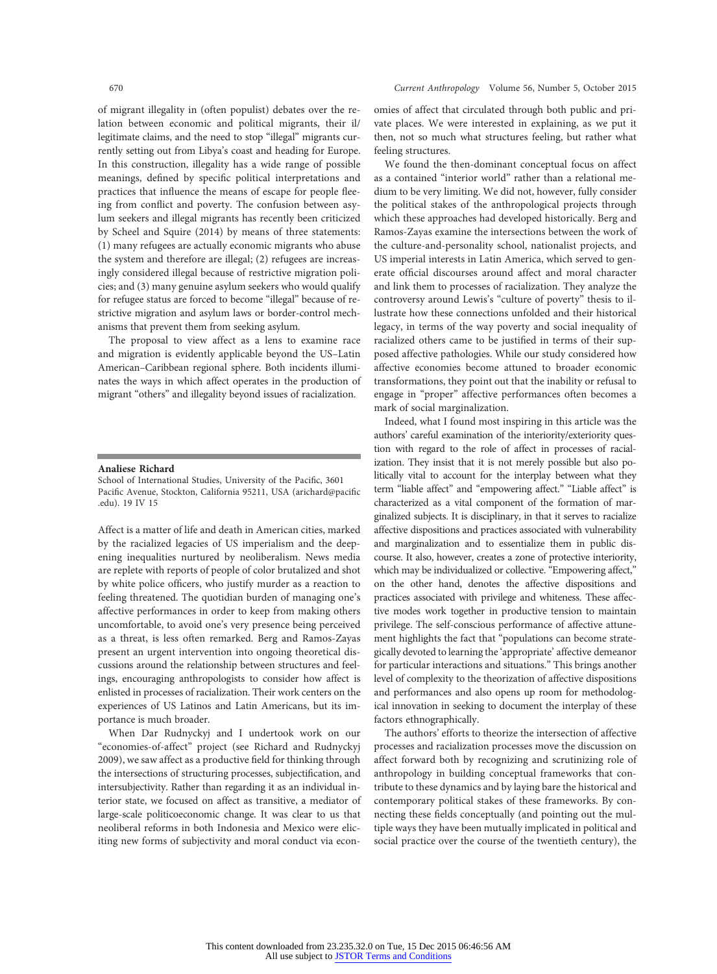of migrant illegality in (often populist) debates over the relation between economic and political migrants, their il/ legitimate claims, and the need to stop "illegal" migrants currently setting out from Libya's coast and heading for Europe. In this construction, illegality has a wide range of possible meanings, defined by specific political interpretations and practices that influence the means of escape for people fleeing from conflict and poverty. The confusion between asylum seekers and illegal migrants has recently been criticized by Scheel and Squire (2014) by means of three statements: (1) many refugees are actually economic migrants who abuse the system and therefore are illegal; (2) refugees are increasingly considered illegal because of restrictive migration policies; and (3) many genuine asylum seekers who would qualify for refugee status are forced to become "illegal" because of restrictive migration and asylum laws or border-control mechanisms that prevent them from seeking asylum.

The proposal to view affect as a lens to examine race and migration is evidently applicable beyond the US–Latin American–Caribbean regional sphere. Both incidents illuminates the ways in which affect operates in the production of migrant "others" and illegality beyond issues of racialization.

#### Analiese Richard

School of International Studies, University of the Pacific, 3601 Pacific Avenue, Stockton, California 95211, USA (arichard@pacific .edu). 19 IV 15

Affect is a matter of life and death in American cities, marked by the racialized legacies of US imperialism and the deepening inequalities nurtured by neoliberalism. News media are replete with reports of people of color brutalized and shot by white police officers, who justify murder as a reaction to feeling threatened. The quotidian burden of managing one's affective performances in order to keep from making others uncomfortable, to avoid one's very presence being perceived as a threat, is less often remarked. Berg and Ramos-Zayas present an urgent intervention into ongoing theoretical discussions around the relationship between structures and feelings, encouraging anthropologists to consider how affect is enlisted in processes of racialization. Their work centers on the experiences of US Latinos and Latin Americans, but its importance is much broader.

When Dar Rudnyckyj and I undertook work on our "economies-of-affect" project (see Richard and Rudnyckyj 2009), we saw affect as a productive field for thinking through the intersections of structuring processes, subjectification, and intersubjectivity. Rather than regarding it as an individual interior state, we focused on affect as transitive, a mediator of large-scale politicoeconomic change. It was clear to us that neoliberal reforms in both Indonesia and Mexico were eliciting new forms of subjectivity and moral conduct via economies of affect that circulated through both public and private places. We were interested in explaining, as we put it then, not so much what structures feeling, but rather what feeling structures.

We found the then-dominant conceptual focus on affect as a contained "interior world" rather than a relational medium to be very limiting. We did not, however, fully consider the political stakes of the anthropological projects through which these approaches had developed historically. Berg and Ramos-Zayas examine the intersections between the work of the culture-and-personality school, nationalist projects, and US imperial interests in Latin America, which served to generate official discourses around affect and moral character and link them to processes of racialization. They analyze the controversy around Lewis's "culture of poverty" thesis to illustrate how these connections unfolded and their historical legacy, in terms of the way poverty and social inequality of racialized others came to be justified in terms of their supposed affective pathologies. While our study considered how affective economies become attuned to broader economic transformations, they point out that the inability or refusal to engage in "proper" affective performances often becomes a mark of social marginalization.

Indeed, what I found most inspiring in this article was the authors' careful examination of the interiority/exteriority question with regard to the role of affect in processes of racialization. They insist that it is not merely possible but also politically vital to account for the interplay between what they term "liable affect" and "empowering affect." "Liable affect" is characterized as a vital component of the formation of marginalized subjects. It is disciplinary, in that it serves to racialize affective dispositions and practices associated with vulnerability and marginalization and to essentialize them in public discourse. It also, however, creates a zone of protective interiority, which may be individualized or collective. "Empowering affect," on the other hand, denotes the affective dispositions and practices associated with privilege and whiteness. These affective modes work together in productive tension to maintain privilege. The self-conscious performance of affective attunement highlights the fact that "populations can become strategically devoted to learning the 'appropriate' affective demeanor for particular interactions and situations." This brings another level of complexity to the theorization of affective dispositions and performances and also opens up room for methodological innovation in seeking to document the interplay of these factors ethnographically.

The authors' efforts to theorize the intersection of affective processes and racialization processes move the discussion on affect forward both by recognizing and scrutinizing role of anthropology in building conceptual frameworks that contribute to these dynamics and by laying bare the historical and contemporary political stakes of these frameworks. By connecting these fields conceptually (and pointing out the multiple ways they have been mutually implicated in political and social practice over the course of the twentieth century), the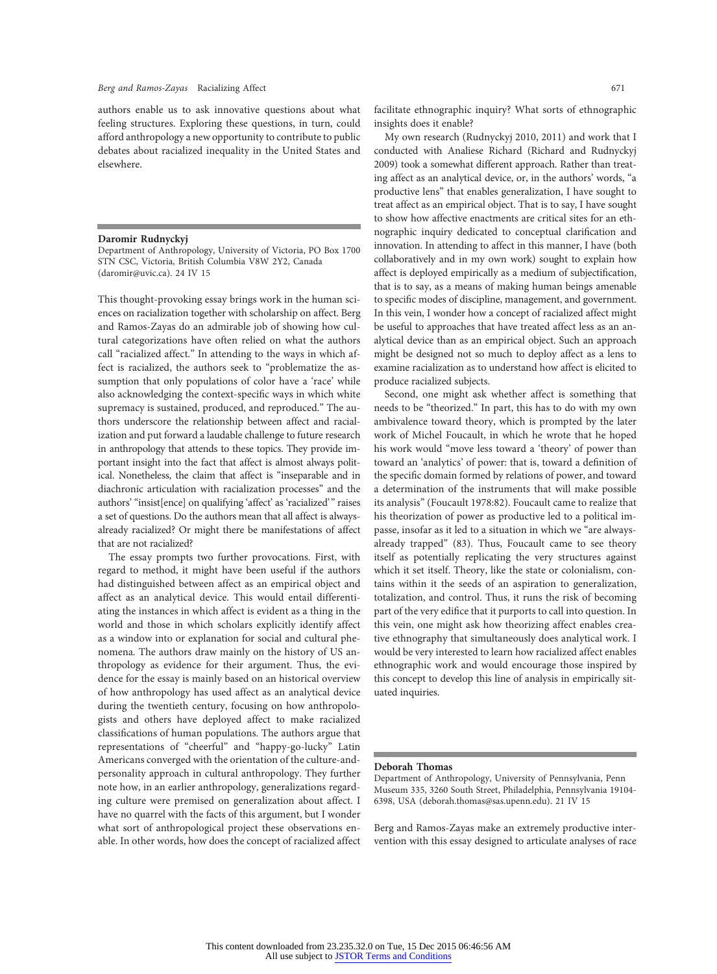authors enable us to ask innovative questions about what feeling structures. Exploring these questions, in turn, could afford anthropology a new opportunity to contribute to public debates about racialized inequality in the United States and elsewhere.

#### Daromir Rudnyckyj

Department of Anthropology, University of Victoria, PO Box 1700 STN CSC, Victoria, British Columbia V8W 2Y2, Canada (daromir@uvic.ca). 24 IV 15

This thought-provoking essay brings work in the human sciences on racialization together with scholarship on affect. Berg and Ramos-Zayas do an admirable job of showing how cultural categorizations have often relied on what the authors call "racialized affect." In attending to the ways in which affect is racialized, the authors seek to "problematize the assumption that only populations of color have a 'race' while also acknowledging the context-specific ways in which white supremacy is sustained, produced, and reproduced." The authors underscore the relationship between affect and racialization and put forward a laudable challenge to future research in anthropology that attends to these topics. They provide important insight into the fact that affect is almost always political. Nonetheless, the claim that affect is "inseparable and in diachronic articulation with racialization processes" and the authors' "insist[ence] on qualifying 'affect' as 'racialized'" raises a set of questions. Do the authors mean that all affect is alwaysalready racialized? Or might there be manifestations of affect that are not racialized?

The essay prompts two further provocations. First, with regard to method, it might have been useful if the authors had distinguished between affect as an empirical object and affect as an analytical device. This would entail differentiating the instances in which affect is evident as a thing in the world and those in which scholars explicitly identify affect as a window into or explanation for social and cultural phenomena. The authors draw mainly on the history of US anthropology as evidence for their argument. Thus, the evidence for the essay is mainly based on an historical overview of how anthropology has used affect as an analytical device during the twentieth century, focusing on how anthropologists and others have deployed affect to make racialized classifications of human populations. The authors argue that representations of "cheerful" and "happy-go-lucky" Latin Americans converged with the orientation of the culture-andpersonality approach in cultural anthropology. They further note how, in an earlier anthropology, generalizations regarding culture were premised on generalization about affect. I have no quarrel with the facts of this argument, but I wonder what sort of anthropological project these observations enable. In other words, how does the concept of racialized affect

facilitate ethnographic inquiry? What sorts of ethnographic insights does it enable?

My own research (Rudnyckyj 2010, 2011) and work that I conducted with Analiese Richard (Richard and Rudnyckyj 2009) took a somewhat different approach. Rather than treating affect as an analytical device, or, in the authors' words, "a productive lens" that enables generalization, I have sought to treat affect as an empirical object. That is to say, I have sought to show how affective enactments are critical sites for an ethnographic inquiry dedicated to conceptual clarification and innovation. In attending to affect in this manner, I have (both collaboratively and in my own work) sought to explain how affect is deployed empirically as a medium of subjectification, that is to say, as a means of making human beings amenable to specific modes of discipline, management, and government. In this vein, I wonder how a concept of racialized affect might be useful to approaches that have treated affect less as an analytical device than as an empirical object. Such an approach might be designed not so much to deploy affect as a lens to examine racialization as to understand how affect is elicited to produce racialized subjects.

Second, one might ask whether affect is something that needs to be "theorized." In part, this has to do with my own ambivalence toward theory, which is prompted by the later work of Michel Foucault, in which he wrote that he hoped his work would "move less toward a 'theory' of power than toward an 'analytics' of power: that is, toward a definition of the specific domain formed by relations of power, and toward a determination of the instruments that will make possible its analysis" (Foucault 1978:82). Foucault came to realize that his theorization of power as productive led to a political impasse, insofar as it led to a situation in which we "are alwaysalready trapped" (83). Thus, Foucault came to see theory itself as potentially replicating the very structures against which it set itself. Theory, like the state or colonialism, contains within it the seeds of an aspiration to generalization, totalization, and control. Thus, it runs the risk of becoming part of the very edifice that it purports to call into question. In this vein, one might ask how theorizing affect enables creative ethnography that simultaneously does analytical work. I would be very interested to learn how racialized affect enables ethnographic work and would encourage those inspired by this concept to develop this line of analysis in empirically situated inquiries.

#### Deborah Thomas

Department of Anthropology, University of Pennsylvania, Penn Museum 335, 3260 South Street, Philadelphia, Pennsylvania 19104- 6398, USA (deborah.thomas@sas.upenn.edu). 21 IV 15

Berg and Ramos-Zayas make an extremely productive intervention with this essay designed to articulate analyses of race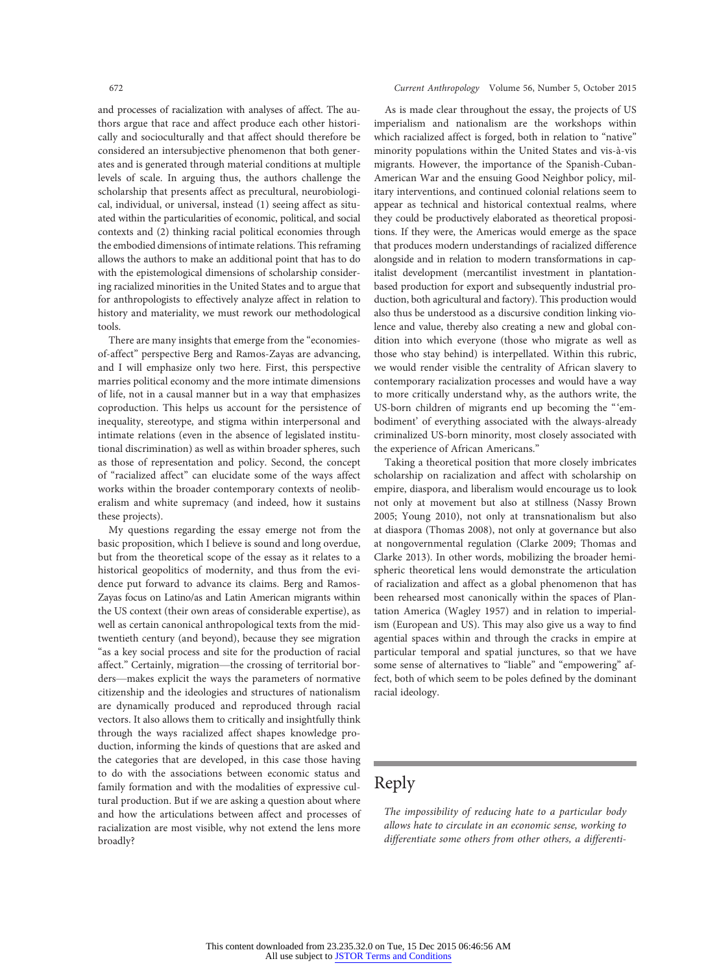and processes of racialization with analyses of affect. The authors argue that race and affect produce each other historically and socioculturally and that affect should therefore be considered an intersubjective phenomenon that both generates and is generated through material conditions at multiple levels of scale. In arguing thus, the authors challenge the scholarship that presents affect as precultural, neurobiological, individual, or universal, instead (1) seeing affect as situated within the particularities of economic, political, and social contexts and (2) thinking racial political economies through the embodied dimensions of intimate relations. This reframing allows the authors to make an additional point that has to do with the epistemological dimensions of scholarship considering racialized minorities in the United States and to argue that for anthropologists to effectively analyze affect in relation to history and materiality, we must rework our methodological tools.

There are many insights that emerge from the "economiesof-affect" perspective Berg and Ramos-Zayas are advancing, and I will emphasize only two here. First, this perspective marries political economy and the more intimate dimensions of life, not in a causal manner but in a way that emphasizes coproduction. This helps us account for the persistence of inequality, stereotype, and stigma within interpersonal and intimate relations (even in the absence of legislated institutional discrimination) as well as within broader spheres, such as those of representation and policy. Second, the concept of "racialized affect" can elucidate some of the ways affect works within the broader contemporary contexts of neoliberalism and white supremacy (and indeed, how it sustains these projects).

My questions regarding the essay emerge not from the basic proposition, which I believe is sound and long overdue, but from the theoretical scope of the essay as it relates to a historical geopolitics of modernity, and thus from the evidence put forward to advance its claims. Berg and Ramos-Zayas focus on Latino/as and Latin American migrants within the US context (their own areas of considerable expertise), as well as certain canonical anthropological texts from the midtwentieth century (and beyond), because they see migration "as a key social process and site for the production of racial affect." Certainly, migration—the crossing of territorial borders—makes explicit the ways the parameters of normative citizenship and the ideologies and structures of nationalism are dynamically produced and reproduced through racial vectors. It also allows them to critically and insightfully think through the ways racialized affect shapes knowledge production, informing the kinds of questions that are asked and the categories that are developed, in this case those having to do with the associations between economic status and family formation and with the modalities of expressive cultural production. But if we are asking a question about where and how the articulations between affect and processes of racialization are most visible, why not extend the lens more broadly?

## 672 Current Anthropology Volume 56, Number 5, October 2015

As is made clear throughout the essay, the projects of US imperialism and nationalism are the workshops within which racialized affect is forged, both in relation to "native" minority populations within the United States and vis-à-vis migrants. However, the importance of the Spanish-Cuban-American War and the ensuing Good Neighbor policy, military interventions, and continued colonial relations seem to appear as technical and historical contextual realms, where they could be productively elaborated as theoretical propositions. If they were, the Americas would emerge as the space that produces modern understandings of racialized difference alongside and in relation to modern transformations in capitalist development (mercantilist investment in plantationbased production for export and subsequently industrial production, both agricultural and factory). This production would also thus be understood as a discursive condition linking violence and value, thereby also creating a new and global condition into which everyone (those who migrate as well as those who stay behind) is interpellated. Within this rubric, we would render visible the centrality of African slavery to contemporary racialization processes and would have a way to more critically understand why, as the authors write, the US-born children of migrants end up becoming the " 'embodiment' of everything associated with the always-already criminalized US-born minority, most closely associated with the experience of African Americans."

Taking a theoretical position that more closely imbricates scholarship on racialization and affect with scholarship on empire, diaspora, and liberalism would encourage us to look not only at movement but also at stillness (Nassy Brown 2005; Young 2010), not only at transnationalism but also at diaspora (Thomas 2008), not only at governance but also at nongovernmental regulation (Clarke 2009; Thomas and Clarke 2013). In other words, mobilizing the broader hemispheric theoretical lens would demonstrate the articulation of racialization and affect as a global phenomenon that has been rehearsed most canonically within the spaces of Plantation America (Wagley 1957) and in relation to imperialism (European and US). This may also give us a way to find agential spaces within and through the cracks in empire at particular temporal and spatial junctures, so that we have some sense of alternatives to "liable" and "empowering" affect, both of which seem to be poles defined by the dominant racial ideology.

## Reply

The impossibility of reducing hate to a particular body allows hate to circulate in an economic sense, working to differentiate some others from other others, a differenti-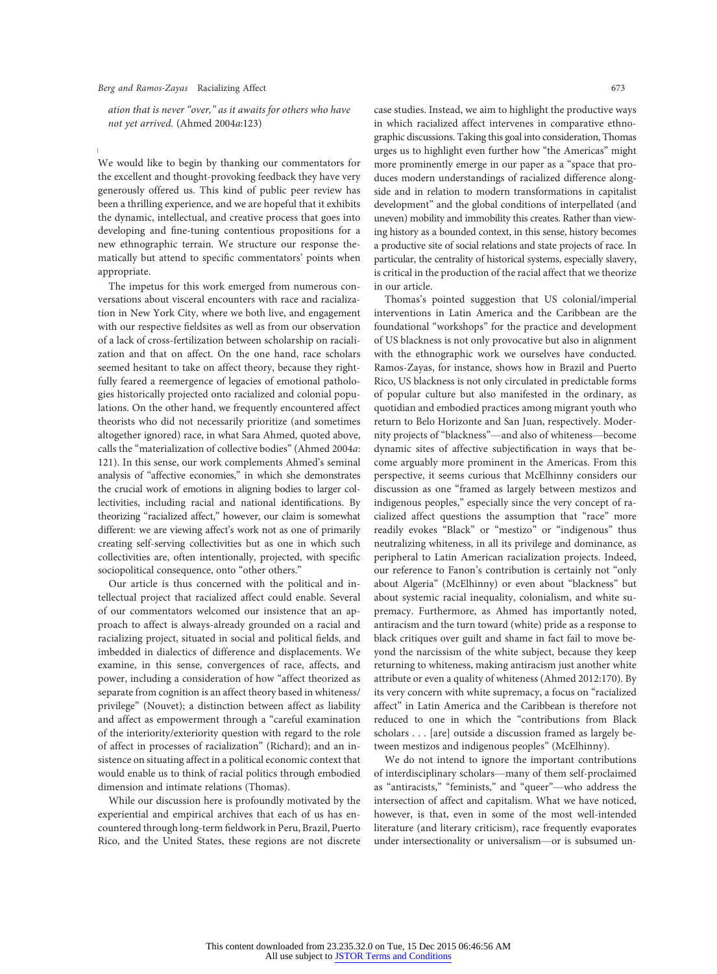ation that is never "over," as it awaits for others who have not yet arrived. (Ahmed 2004a:123)

We would like to begin by thanking our commentators for the excellent and thought-provoking feedback they have very generously offered us. This kind of public peer review has been a thrilling experience, and we are hopeful that it exhibits the dynamic, intellectual, and creative process that goes into developing and fine-tuning contentious propositions for a new ethnographic terrain. We structure our response thematically but attend to specific commentators' points when appropriate.

The impetus for this work emerged from numerous conversations about visceral encounters with race and racialization in New York City, where we both live, and engagement with our respective fieldsites as well as from our observation of a lack of cross-fertilization between scholarship on racialization and that on affect. On the one hand, race scholars seemed hesitant to take on affect theory, because they rightfully feared a reemergence of legacies of emotional pathologies historically projected onto racialized and colonial populations. On the other hand, we frequently encountered affect theorists who did not necessarily prioritize (and sometimes altogether ignored) race, in what Sara Ahmed, quoted above, calls the "materialization of collective bodies" (Ahmed 2004a: 121). In this sense, our work complements Ahmed's seminal analysis of "affective economies," in which she demonstrates the crucial work of emotions in aligning bodies to larger collectivities, including racial and national identifications. By theorizing "racialized affect," however, our claim is somewhat different: we are viewing affect's work not as one of primarily creating self-serving collectivities but as one in which such collectivities are, often intentionally, projected, with specific sociopolitical consequence, onto "other others."

Our article is thus concerned with the political and intellectual project that racialized affect could enable. Several of our commentators welcomed our insistence that an approach to affect is always-already grounded on a racial and racializing project, situated in social and political fields, and imbedded in dialectics of difference and displacements. We examine, in this sense, convergences of race, affects, and power, including a consideration of how "affect theorized as separate from cognition is an affect theory based in whiteness/ privilege" (Nouvet); a distinction between affect as liability and affect as empowerment through a "careful examination of the interiority/exteriority question with regard to the role of affect in processes of racialization" (Richard); and an insistence on situating affect in a political economic context that would enable us to think of racial politics through embodied dimension and intimate relations (Thomas).

While our discussion here is profoundly motivated by the experiential and empirical archives that each of us has encountered through long-term fieldwork in Peru, Brazil, Puerto Rico, and the United States, these regions are not discrete

duces modern understandings of racialized difference alongside and in relation to modern transformations in capitalist development" and the global conditions of interpellated (and uneven) mobility and immobility this creates. Rather than viewing history as a bounded context, in this sense, history becomes a productive site of social relations and state projects of race. In particular, the centrality of historical systems, especially slavery, is critical in the production of the racial affect that we theorize in our article.

Thomas's pointed suggestion that US colonial/imperial interventions in Latin America and the Caribbean are the foundational "workshops" for the practice and development of US blackness is not only provocative but also in alignment with the ethnographic work we ourselves have conducted. Ramos-Zayas, for instance, shows how in Brazil and Puerto Rico, US blackness is not only circulated in predictable forms of popular culture but also manifested in the ordinary, as quotidian and embodied practices among migrant youth who return to Belo Horizonte and San Juan, respectively. Modernity projects of "blackness"—and also of whiteness—become dynamic sites of affective subjectification in ways that become arguably more prominent in the Americas. From this perspective, it seems curious that McElhinny considers our discussion as one "framed as largely between mestizos and indigenous peoples," especially since the very concept of racialized affect questions the assumption that "race" more readily evokes "Black" or "mestizo" or "indigenous" thus neutralizing whiteness, in all its privilege and dominance, as peripheral to Latin American racialization projects. Indeed, our reference to Fanon's contribution is certainly not "only about Algeria" (McElhinny) or even about "blackness" but about systemic racial inequality, colonialism, and white supremacy. Furthermore, as Ahmed has importantly noted, antiracism and the turn toward (white) pride as a response to black critiques over guilt and shame in fact fail to move beyond the narcissism of the white subject, because they keep returning to whiteness, making antiracism just another white attribute or even a quality of whiteness (Ahmed 2012:170). By its very concern with white supremacy, a focus on "racialized affect" in Latin America and the Caribbean is therefore not reduced to one in which the "contributions from Black scholars . . . [are] outside a discussion framed as largely between mestizos and indigenous peoples" (McElhinny).

We do not intend to ignore the important contributions of interdisciplinary scholars—many of them self-proclaimed as "antiracists," "feminists," and "queer"—who address the intersection of affect and capitalism. What we have noticed, however, is that, even in some of the most well-intended literature (and literary criticism), race frequently evaporates under intersectionality or universalism—or is subsumed un-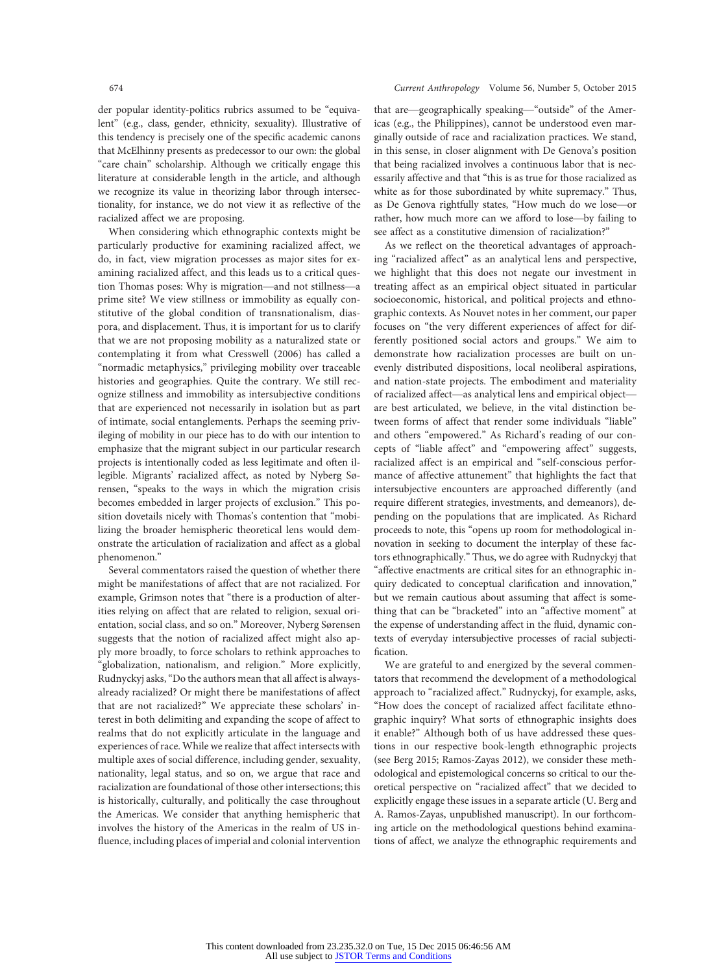#### 674 Current Anthropology Volume 56, Number 5, October 2015

der popular identity-politics rubrics assumed to be "equivalent" (e.g., class, gender, ethnicity, sexuality). Illustrative of this tendency is precisely one of the specific academic canons that McElhinny presents as predecessor to our own: the global "care chain" scholarship. Although we critically engage this literature at considerable length in the article, and although we recognize its value in theorizing labor through intersectionality, for instance, we do not view it as reflective of the racialized affect we are proposing.

When considering which ethnographic contexts might be particularly productive for examining racialized affect, we do, in fact, view migration processes as major sites for examining racialized affect, and this leads us to a critical question Thomas poses: Why is migration—and not stillness—a prime site? We view stillness or immobility as equally constitutive of the global condition of transnationalism, diaspora, and displacement. Thus, it is important for us to clarify that we are not proposing mobility as a naturalized state or contemplating it from what Cresswell (2006) has called a "normadic metaphysics," privileging mobility over traceable histories and geographies. Quite the contrary. We still recognize stillness and immobility as intersubjective conditions that are experienced not necessarily in isolation but as part of intimate, social entanglements. Perhaps the seeming privileging of mobility in our piece has to do with our intention to emphasize that the migrant subject in our particular research projects is intentionally coded as less legitimate and often illegible. Migrants' racialized affect, as noted by Nyberg Sørensen, "speaks to the ways in which the migration crisis becomes embedded in larger projects of exclusion." This position dovetails nicely with Thomas's contention that "mobilizing the broader hemispheric theoretical lens would demonstrate the articulation of racialization and affect as a global phenomenon."

Several commentators raised the question of whether there might be manifestations of affect that are not racialized. For example, Grimson notes that "there is a production of alterities relying on affect that are related to religion, sexual orientation, social class, and so on." Moreover, Nyberg Sørensen suggests that the notion of racialized affect might also apply more broadly, to force scholars to rethink approaches to "globalization, nationalism, and religion." More explicitly, Rudnyckyj asks,"Do the authors mean that all affect is alwaysalready racialized? Or might there be manifestations of affect that are not racialized?" We appreciate these scholars' interest in both delimiting and expanding the scope of affect to realms that do not explicitly articulate in the language and experiences of race. While we realize that affect intersects with multiple axes of social difference, including gender, sexuality, nationality, legal status, and so on, we argue that race and racialization are foundational of those other intersections; this is historically, culturally, and politically the case throughout the Americas. We consider that anything hemispheric that involves the history of the Americas in the realm of US influence, including places of imperial and colonial intervention

that are—geographically speaking—"outside" of the Americas (e.g., the Philippines), cannot be understood even marginally outside of race and racialization practices. We stand, in this sense, in closer alignment with De Genova's position that being racialized involves a continuous labor that is necessarily affective and that "this is as true for those racialized as white as for those subordinated by white supremacy." Thus, as De Genova rightfully states, "How much do we lose—or rather, how much more can we afford to lose—by failing to see affect as a constitutive dimension of racialization?"

As we reflect on the theoretical advantages of approaching "racialized affect" as an analytical lens and perspective, we highlight that this does not negate our investment in treating affect as an empirical object situated in particular socioeconomic, historical, and political projects and ethnographic contexts. As Nouvet notes in her comment, our paper focuses on "the very different experiences of affect for differently positioned social actors and groups." We aim to demonstrate how racialization processes are built on unevenly distributed dispositions, local neoliberal aspirations, and nation-state projects. The embodiment and materiality of racialized affect—as analytical lens and empirical object are best articulated, we believe, in the vital distinction between forms of affect that render some individuals "liable" and others "empowered." As Richard's reading of our concepts of "liable affect" and "empowering affect" suggests, racialized affect is an empirical and "self-conscious performance of affective attunement" that highlights the fact that intersubjective encounters are approached differently (and require different strategies, investments, and demeanors), depending on the populations that are implicated. As Richard proceeds to note, this "opens up room for methodological innovation in seeking to document the interplay of these factors ethnographically." Thus, we do agree with Rudnyckyj that "affective enactments are critical sites for an ethnographic inquiry dedicated to conceptual clarification and innovation," but we remain cautious about assuming that affect is something that can be "bracketed" into an "affective moment" at the expense of understanding affect in the fluid, dynamic contexts of everyday intersubjective processes of racial subjectification.

We are grateful to and energized by the several commentators that recommend the development of a methodological approach to "racialized affect." Rudnyckyj, for example, asks, "How does the concept of racialized affect facilitate ethnographic inquiry? What sorts of ethnographic insights does it enable?" Although both of us have addressed these questions in our respective book-length ethnographic projects (see Berg 2015; Ramos-Zayas 2012), we consider these methodological and epistemological concerns so critical to our theoretical perspective on "racialized affect" that we decided to explicitly engage these issues in a separate article (U. Berg and A. Ramos-Zayas, unpublished manuscript). In our forthcoming article on the methodological questions behind examinations of affect, we analyze the ethnographic requirements and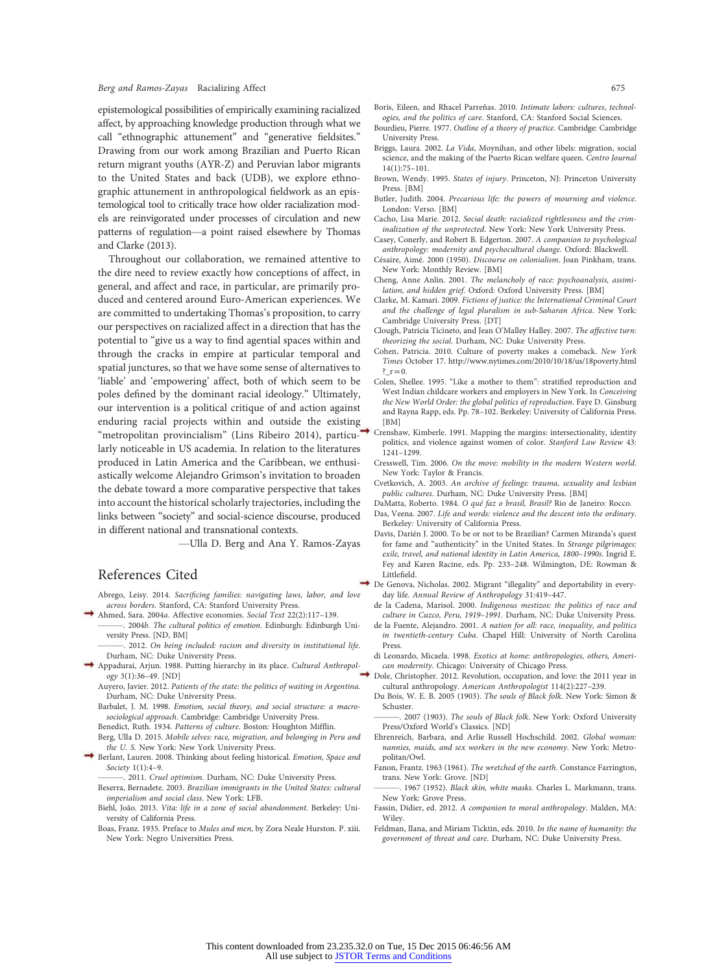epistemological possibilities of empirically examining racialized affect, by approaching knowledge production through what we call "ethnographic attunement" and "generative fieldsites." Drawing from our work among Brazilian and Puerto Rican return migrant youths (AYR-Z) and Peruvian labor migrants to the United States and back (UDB), we explore ethnographic attunement in anthropological fieldwork as an epistemological tool to critically trace how older racialization models are reinvigorated under processes of circulation and new patterns of regulation—a point raised elsewhere by Thomas and Clarke (2013).

Throughout our collaboration, we remained attentive to the dire need to review exactly how conceptions of affect, in general, and affect and race, in particular, are primarily produced and centered around Euro-American experiences. We are committed to undertaking Thomas's proposition, to carry our perspectives on racialized affect in a direction that has the potential to "give us a way to find agential spaces within and through the cracks in empire at particular temporal and spatial junctures, so that we have some sense of alternatives to 'liable' and 'empowering' affect, both of which seem to be poles defined by the dominant racial ideology." Ultimately, our intervention is a political critique of and action against enduring racial projects within and outside the existing "metropolitan provincialism" (Lins Ribeiro 2014), particularly noticeable in US academia. In relation to the literatures produced in Latin America and the Caribbean, we enthusiastically welcome Alejandro Grimson's invitation to broaden the debate toward a more comparative perspective that takes into account the historical scholarly trajectories, including the links between "society" and social-science discourse, produced in different national and transnational contexts.

—Ulla D. Berg and Ana Y. Ramos-Zayas

## References Cited

Abrego, Leisy. 2014. Sacrificing families: navigating laws, labor, and love across borders. Stanford, CA: Stanford University Press.

- Ahmed, Sara. 2004a. Affective economies. Social Text 22(2):117–139.
	- 2004b. The cultural politics of emotion. Edinburgh: Edinburgh University Press. [ND, BM] .<br>2012. On being included: racism and diversity in institutional life.
	- Durham, NC: Duke University Press.
- Appadurai, Arjun. 1988. Putting hierarchy in its place. Cultural Anthropol- $09y$  3(1):36–49. [ND]
	- Auyero, Javier. 2012. Patients of the state: the politics of waiting in Argentina. Durham, NC: Duke University Press.
	- Barbalet, J. M. 1998. Emotion, social theory, and social structure: a macrosociological approach. Cambridge: Cambridge University Press.
	- Benedict, Ruth. 1934. Patterns of culture. Boston: Houghton Mifflin.
	- Berg, Ulla D. 2015. Mobile selves: race, migration, and belonging in Peru and the U. S. New York: New York University Press.
- Berlant, Lauren. 2008. Thinking about feeling historical. Emotion, Space and Society 1(1):4-9.
	- . 2011. Cruel optimism. Durham, NC: Duke University Press.
	- Beserra, Bernadete. 2003. Brazilian immigrants in the United States: cultural imperialism and social class. New York: LFB.
	- Biehl, João. 2013. Vita: life in a zone of social abandonment. Berkeley: University of California Press.
	- Boas, Franz. 1935. Preface to Mules and men, by Zora Neale Hurston. P. xiii. New York: Negro Universities Press.
- Boris, Eileen, and Rhacel Parreñas. 2010. Intimate labors: cultures, technologies, and the politics of care. Stanford, CA: Stanford Social Sciences.
- Bourdieu, Pierre. 1977. Outline of a theory of practice. Cambridge: Cambridge University Press.
- Briggs, Laura. 2002. La Vida, Moynihan, and other libels: migration, social science, and the making of the Puerto Rican welfare queen. Centro Journal 14(1):75–101.
- Brown, Wendy. 1995. States of injury. Princeton, NJ: Princeton University Press. [BM]
- Butler, Judith. 2004. Precarious life: the powers of mourning and violence. London: Verso. [BM]
- Cacho, Lisa Marie. 2012. Social death: racialized rightlessness and the criminalization of the unprotected. New York: New York University Press.
- Casey, Conerly, and Robert B. Edgerton. 2007. A companion to psychological anthropology: modernity and psychocultural change. Oxford: Blackwell.
- Césaire, Aimé. 2000 (1950). Discourse on colonialism. Joan Pinkham, trans. New York: Monthly Review. [BM]
- Cheng, Anne Anlin. 2001. The melancholy of race: psychoanalysis, assimilation, and hidden grief. Oxford: Oxford University Press. [BM]
- Clarke, M. Kamari. 2009. Fictions of justice: the International Criminal Court and the challenge of legal pluralism in sub-Saharan Africa. New York: Cambridge University Press. [DT]
- Clough, Patricia Ticineto, and Jean O'Malley Halley. 2007. The affective turn: theorizing the social. Durham, NC: Duke University Press.
- Cohen, Patricia. 2010. Culture of poverty makes a comeback. New York Times October 17. http://www.nytimes.com/2010/10/18/us/18poverty.html ?  $r = 0$ .
- Colen, Shellee. 1995. "Like a mother to them": stratified reproduction and West Indian childcare workers and employers in New York. In Conceiving the New World Order: the global politics of reproduction. Faye D. Ginsburg and Rayna Rapp, eds. Pp. 78–102. Berkeley: University of California Press. [BM]
- Crenshaw, Kimberle. 1991. Mapping the margins: intersectionality, identity politics, and violence against women of color. Stanford Law Review 43: 1241–1299.
- Cresswell, Tim. 2006. On the move: mobility in the modern Western world. New York: Taylor & Francis.
- Cvetkovich, A. 2003. An archive of feelings: trauma, sexuality and lesbian public cultures. Durham, NC: Duke University Press. [BM]
- DaMatta, Roberto. 1984. O qué faz o brasil, Brasil? Rio de Janeiro: Rocco. Das, Veena. 2007. Life and words: violence and the descent into the ordinary.
- Berkeley: University of California Press.
- Davis, Darién J. 2000. To be or not to be Brazilian? Carmen Miranda's quest for fame and "authenticity" in the United States. In Strange pilgrimages: exile, travel, and national identity in Latin America, 1800–1990s. Ingrid E. Fey and Karen Racine, eds. Pp. 233–248. Wilmington, DE: Rowman & Littlefield.
- De Genova, Nicholas. 2002. Migrant "illegality" and deportability in everyday life. Annual Review of Anthropology 31:419–447.
	- de la Cadena, Marisol. 2000. Indigenous mestizos: the politics of race and culture in Cuzco, Peru, 1919–1991. Durham, NC: Duke University Press.
	- de la Fuente, Alejandro. 2001. A nation for all: race, inequality, and politics in twentieth-century Cuba. Chapel Hill: University of North Carolina Press.
	- di Leonardo, Micaela. 1998. Exotics at home: anthropologies, others, American modernity. Chicago: University of Chicago Press.
	- Dole, Christopher. 2012. Revolution, occupation, and love: the 2011 year in cultural anthropology. American Anthropologist 114(2):227–239.
	- Du Bois, W. E. B. 2005 (1903). The souls of Black folk. New York: Simon & Schuster.
	- 2007 (1903). The souls of Black folk. New York: Oxford University Press/Oxford World's Classics. [ND]
	- Ehrenreich, Barbara, and Arlie Russell Hochschild. 2002. Global woman: nannies, maids, and sex workers in the new economy. New York: Metropolitan/Owl.
	- Fanon, Frantz. 1963 (1961). The wretched of the earth. Constance Farrington, trans. New York: Grove. [ND]
	- 1967 (1952). Black skin, white masks. Charles L. Markmann, trans. New York: Grove Press.
	- Fassin, Didier, ed. 2012. A companion to moral anthropology. Malden, MA: Wiley.
	- Feldman, Ilana, and Miriam Ticktin, eds. 2010. In the name of humanity: the government of threat and care. Durham, NC: Duke University Press.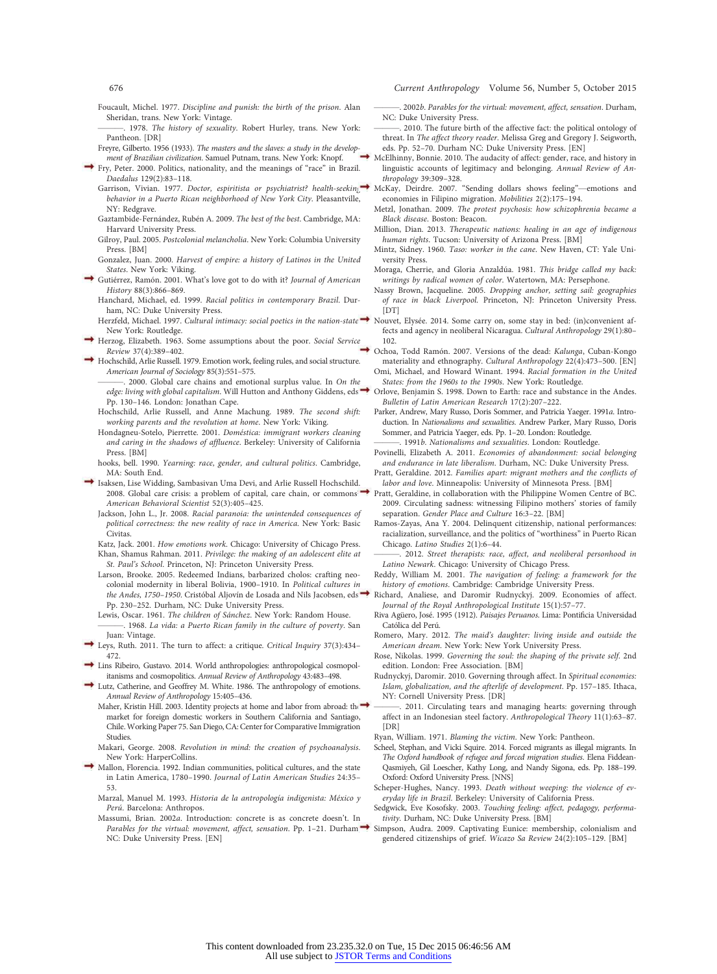- Foucault, Michel. 1977. Discipline and punish: the birth of the prison. Alan Sheridan, trans. New York: Vintage.
- -. 1978. The history of sexuality. Robert Hurley, trans. New York: Pantheon. [DR]
- Freyre, Gilberto. 1956 (1933). The masters and the slaves: a study in the development of Brazilian civilization. Samuel Putnam, trans. New York: Knopf.
- Fry, Peter. 2000. Politics, nationality, and the meanings of "race" in Brazil. Daedalus 129(2):83–118.
	- Garrison, Vivian. 1977. Doctor, espiritista or psychiatrist? health-seeking behavior in a Puerto Rican neighborhood of New York City. Pleasantville, NY: Redgrave.
	- Gaztambide-Fernández, Rubén A. 2009. The best of the best. Cambridge, MA: Harvard University Press.
	- Gilroy, Paul. 2005. Postcolonial melancholia. New York: Columbia University Press. [BM]
- Gonzalez, Juan. 2000. Harvest of empire: a history of Latinos in the United States. New York: Viking.
- Gutiérrez, Ramón. 2001. What's love got to do with it? Journal of American History 88(3):866–869.
	- Hanchard, Michael, ed. 1999. Racial politics in contemporary Brazil. Durham, NC: Duke University Press.
- Herzfeld, Michael. 1997. Cultural intimacy: social poetics in the nation-state New York: Routledge.
- Herzog, Elizabeth. 1963. Some assumptions about the poor. Social Service Review 37(4):389–402.
- Hochschild, Arlie Russell. 1979. Emotion work, feeling rules, and social structure. American Journal of Sociology 85(3):551–575.
	- $2000$ . Global care chains and emotional surplus value. In On the Pp. 130–146. London: Jonathan Cape.
- Hochschild, Arlie Russell, and Anne Machung. 1989. The second shift: working parents and the revolution at home. New York: Viking.
- Hondagneu-Sotelo, Pierrette. 2001. Doméstica: immigrant workers cleaning and caring in the shadows of affluence. Berkeley: University of California Press. [BM]
- hooks, bell. 1990. Yearning: race, gender, and cultural politics. Cambridge, MA: South End.
- Isaksen, Lise Widding, Sambasivan Uma Devi, and Arlie Russell Hochschild. 2008. Global care crisis: a problem of capital, care chain, or commons American Behavioral Scientist 52(3):405–425.
	- Jackson, John L., Jr. 2008. Racial paranoia: the unintended consequences of political correctness: the new reality of race in America. New York: Basic Civitas.
	- Katz, Jack. 2001. How emotions work. Chicago: University of Chicago Press. Khan, Shamus Rahman. 2011. Privilege: the making of an adolescent elite at St. Paul's School. Princeton, NJ: Princeton University Press.
	- Larson, Brooke. 2005. Redeemed Indians, barbarized cholos: crafting neocolonial modernity in liberal Bolivia, 1900–1910. In Political cultures in the Andes, 1750–1950. Cristóbal Aljovín de Losada and Nils Jacobsen, eds<sup>+</sup> Pp. 230–252. Durham, NC: Duke University Press.
	- Lewis, Oscar. 1961. The children of Sánchez. New York: Random House. 1968. La vida: a Puerto Rican family in the culture of poverty. San Juan: Vintage.
- Leys, Ruth. 2011. The turn to affect: a critique. Critical Inquiry 37(3):434– 472.
- Lins Ribeiro, Gustavo. 2014. World anthropologies: anthropological cosmopolitanisms and cosmopolitics. Annual Review of Anthropology 43:483–498.
- Lutz, Catherine, and Geoffrey M. White. 1986. The anthropology of emotions. Annual Review of Anthropology 15:405–436.
- Maher, Kristin Hill. 2003. Identity projects at home and labor from abroad: the market for foreign domestic workers in Southern California and Santiago, Chile.Working Paper 75. San Diego, CA: Center for Comparative Immigration **Studies**.
- Makari, George. 2008. Revolution in mind: the creation of psychoanalysis. New York: HarperCollins.
- Mallon, Florencia. 1992. Indian communities, political cultures, and the state in Latin America, 1780–1990. Journal of Latin American Studies 24:35– 53.
	- Marzal, Manuel M. 1993. Historia de la antropología indigenista: México y Perú. Barcelona: Anthropos.
	- Massumi, Brian. 2002a. Introduction: concrete is as concrete doesn't. In Parables for the virtual: movement, affect, sensation. Pp. 1-21. Durham, NC: Duke University Press. [EN]
- . 2002b. Parables for the virtual: movement, affect, sensation. Durham, NC: Duke University Press.
- $\sim$  2010. The future birth of the affective fact: the political ontology of threat. In The affect theory reader. Melissa Greg and Gregory J. Seigworth, eds. Pp. 52–70. Durham NC: Duke University Press. [EN]
- McElhinny, Bonnie. 2010. The audacity of affect: gender, race, and history in linguistic accounts of legitimacy and belonging. Annual Review of Anthropology 39:309–328.
	- McKay, Deirdre. 2007. "Sending dollars shows feeling"—emotions and economies in Filipino migration. Mobilities 2(2):175–194.
	- Metzl, Jonathan. 2009. The protest psychosis: how schizophrenia became a Black disease. Boston: Beacon.
	- Million, Dian. 2013. Therapeutic nations: healing in an age of indigenous human rights. Tucson: University of Arizona Press. [BM]
	- Mintz, Sidney. 1960. Taso: worker in the cane. New Haven, CT: Yale University Press.
	- Moraga, Cherrie, and Gloria Anzaldúa. 1981. This bridge called my back: writings by radical women of color. Watertown, MA: Persephone.
	- Nassy Brown, Jacqueline. 2005. Dropping anchor, setting sail: geographies of race in black Liverpool. Princeton, NJ: Princeton University Press. [DT]
	- Nouvet, Elysée. 2014. Some carry on, some stay in bed: (in)convenient affects and agency in neoliberal Nicaragua. Cultural Anthropology 29(1):80– 102.
	- Ochoa, Todd Ramón. 2007. Versions of the dead: Kalunga, Cuban-Kongo materiality and ethnography. Cultural Anthropology 22(4):473–500. [EN]
	- Omi, Michael, and Howard Winant. 1994. Racial formation in the United States: from the 1960s to the 1990s. New York: Routledge.
- edge: living with global capitalism. Will Hutton and Anthony Giddens, eds  $\rightarrow$  Orlove, Benjamin S. 1998. Down to Earth: race and substance in the Andes. Bulletin of Latin American Research 17(2):207–222.
	- Parker, Andrew, Mary Russo, Doris Sommer, and Patricia Yaeger. 1991a. Introduction. In Nationalisms and sexualities. Andrew Parker, Mary Russo, Doris Sommer, and Patricia Yaeger, eds. Pp. 1–20. London: Routledge. ———. 1991b. Nationalisms and sexualities. London: Routledge.
	- Povinelli, Elizabeth A. 2011. Economies of abandonment: social belonging
	- and endurance in late liberalism. Durham, NC: Duke University Press. Pratt, Geraldine. 2012. Families apart: migrant mothers and the conflicts of
	- labor and love. Minneapolis: University of Minnesota Press. [BM] Pratt, Geraldine, in collaboration with the Philippine Women Centre of BC. 2009. Circulating sadness: witnessing Filipino mothers' stories of family separation. Gender Place and Culture 16:3-22. [BM]
	- Ramos-Zayas, Ana Y. 2004. Delinquent citizenship, national performances: racialization, surveillance, and the politics of "worthiness" in Puerto Rican Chicago. Latino Studies 2(1):6–44.
	- ———. 2012. Street therapists: race, affect, and neoliberal personhood in Latino Newark. Chicago: University of Chicago Press.
	- Reddy, William M. 2001. The navigation of feeling: a framework for the history of emotions. Cambridge: Cambridge University Press.
	- Richard, Analiese, and Daromir Rudnyckyj. 2009. Economies of affect. Journal of the Royal Anthropological Institute 15(1):57–77.
	- Riva Agüero, José. 1995 (1912). Paisajes Peruanos. Lima: Pontificia Universidad Católica del Perú.
	- Romero, Mary. 2012. The maid's daughter: living inside and outside the American dream. New York: New York University Press.
	- Rose, Nikolas. 1999. Governing the soul: the shaping of the private self. 2nd edition. London: Free Association. [BM]
	- Rudnyckyj, Daromir. 2010. Governing through affect. In Spiritual economies: Islam, globalization, and the afterlife of development. Pp. 157–185. Ithaca, NY: Cornell University Press. [DR]
	- 2011. Circulating tears and managing hearts: governing through affect in an Indonesian steel factory. Anthropological Theory 11(1):63–87. [DR]
	- Ryan, William. 1971. Blaming the victim. New York: Pantheon.
	- Scheel, Stephan, and Vicki Squire. 2014. Forced migrants as illegal migrants. In The Oxford handbook of refugee and forced migration studies. Elena Fiddean-Qasmiyeh, Gil Loescher, Kathy Long, and Nandy Sigona, eds. Pp. 188–199. Oxford: Oxford University Press. [NNS]
	- Scheper-Hughes, Nancy. 1993. Death without weeping: the violence of everyday life in Brazil. Berkeley: University of California Press.
	- Sedgwick, Eve Kosofsky. 2003. Touching feeling: affect, pedagogy, performativity. Durham, NC: Duke University Press. [BM]
	- Simpson, Audra. 2009. Captivating Eunice: membership, colonialism and gendered citizenships of grief. Wicazo Sa Review 24(2):105–129. [BM]